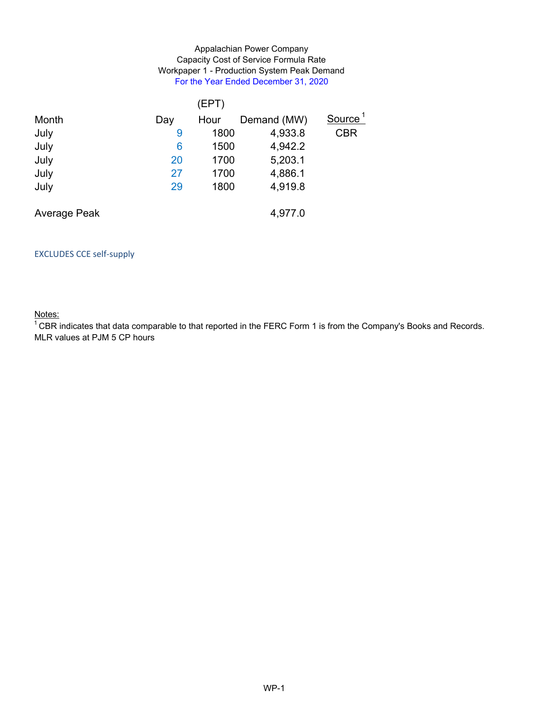### Appalachian Power Company Workpaper 1 - Production System Peak Demand For the Year Ended December 31, 2020 Capacity Cost of Service Formula Rate

|              |     | (EPT) |             |                     |
|--------------|-----|-------|-------------|---------------------|
| Month        | Day | Hour  | Demand (MW) | Source <sup>1</sup> |
| July         | 9   | 1800  | 4,933.8     | <b>CBR</b>          |
| July         | 6   | 1500  | 4,942.2     |                     |
| July         | 20  | 1700  | 5,203.1     |                     |
| July         | 27  | 1700  | 4,886.1     |                     |
| July         | 29  | 1800  | 4,919.8     |                     |
|              |     |       |             |                     |
| Average Peak |     |       | 4,977.0     |                     |
|              |     |       |             |                     |

### EXCLUDES CCE self‐supply

Notes:

 $1$  CBR indicates that data comparable to that reported in the FERC Form 1 is from the Company's Books and Records. MLR values at PJM 5 CP hours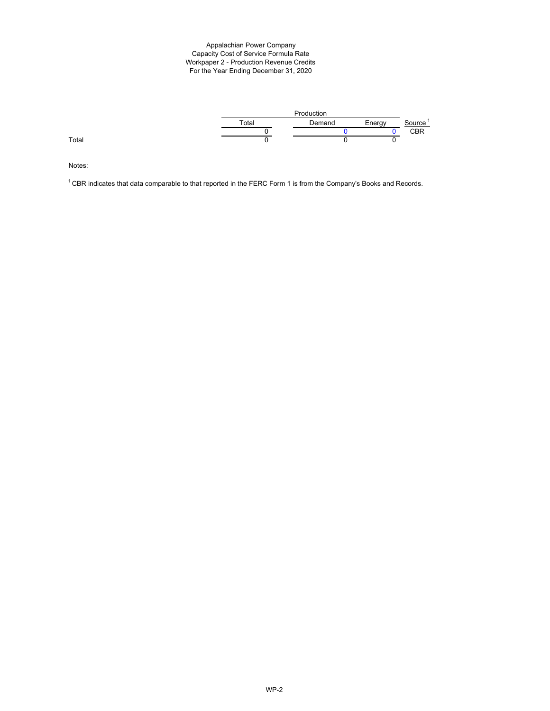#### Appalachian Power Company Workpaper 2 - Production Revenue Credits For the Year Ending December 31, 2020 Capacity Cost of Service Formula Rate



Notes:

 $1$  CBR indicates that data comparable to that reported in the FERC Form 1 is from the Company's Books and Records.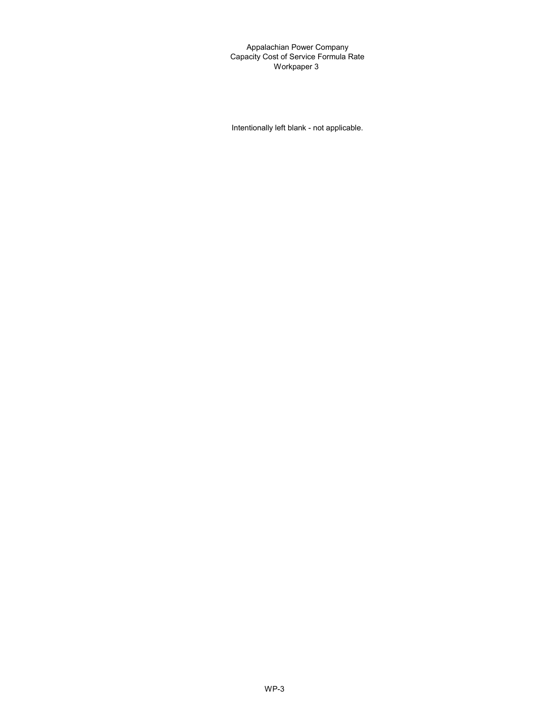Appalachian Power Company Capacity Cost of Service Formula Rate Workpaper 3

Intentionally left blank - not applicable.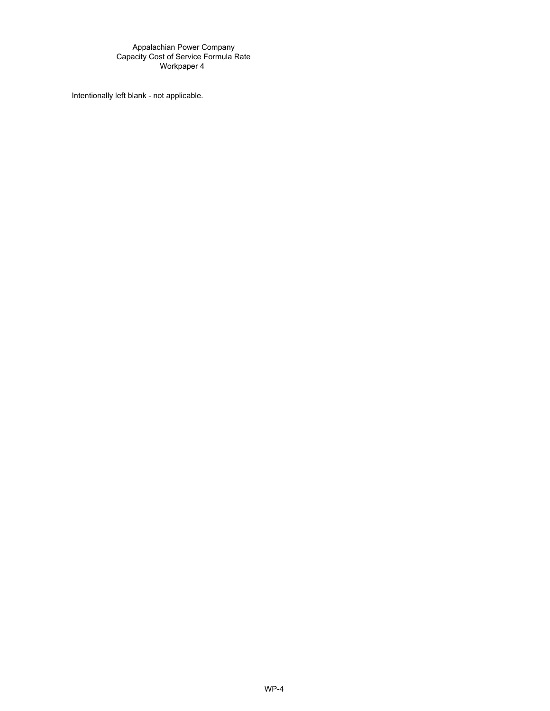Appalachian Power Company Capacity Cost of Service Formula Rate Workpaper 4

Intentionally left blank - not applicable.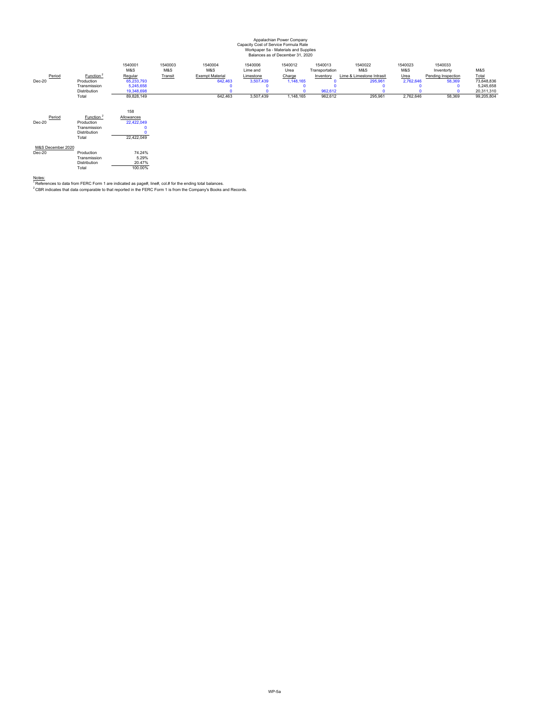#### Appalachian Power Company Workpaper 5a - Materials and Supplies Balances as of December 31, 2020 Capacity Cost of Service Formula Rate

| Period<br>Dec-20              | Function <sup>2</sup><br>Production<br>Transmission<br>Distribution<br>Total | 1540001<br>M&S<br>Regular<br>65,233,793<br>5,245,658<br>19,348,698<br>89,828,149 | 1540003<br>M&S<br>Transit | 1540004<br>M&S<br><b>Exempt Material</b><br>642,463<br>$\Omega$<br>642,463 | 1540006<br>Lime and<br>Limestone<br>3,507,439<br>3,507,439 | 1540012<br>Urea<br>Charge<br>1,148,165<br>1,148,165 | 1540013<br>Transportation<br>Inventory<br>962,612<br>962,612 | 1540022<br>M&S<br>Lime & Limestone Intrasit<br>295,961<br>O<br>295,961 | 1540023<br>M&S<br>Urea<br>2,762,646<br>$\Omega$<br>n<br>2,762,646 | 1540033<br>Inventorty<br>Pending Inspection<br>58,369<br>٥<br>58,369 | M&S<br>Total<br>73,648,836<br>5,245,658<br>20,311,310<br>99,205,804 |
|-------------------------------|------------------------------------------------------------------------------|----------------------------------------------------------------------------------|---------------------------|----------------------------------------------------------------------------|------------------------------------------------------------|-----------------------------------------------------|--------------------------------------------------------------|------------------------------------------------------------------------|-------------------------------------------------------------------|----------------------------------------------------------------------|---------------------------------------------------------------------|
| Period<br>Dec-20              | Function <sup>2</sup><br>Production<br>Transmission<br>Distribution<br>Total | 158<br>Allowances<br>22,422,049<br>$\Omega$<br>22,422,049                        |                           |                                                                            |                                                            |                                                     |                                                              |                                                                        |                                                                   |                                                                      |                                                                     |
| M&S December 2020<br>$Dec-20$ | Production<br>Transmission<br>Distribution<br>Total                          | 74.24%<br>5.29%<br>20.47%<br>100.00%                                             |                           |                                                                            |                                                            |                                                     |                                                              |                                                                        |                                                                   |                                                                      |                                                                     |

<u>Notes:</u><br>' References to data from FERC Form 1 are indicated as page#, line#, col.# for the ending total balances.<br><sup>2</sup> CBR indicates that data comparable to that reported in the FERC Form 1 is from the Company's Books and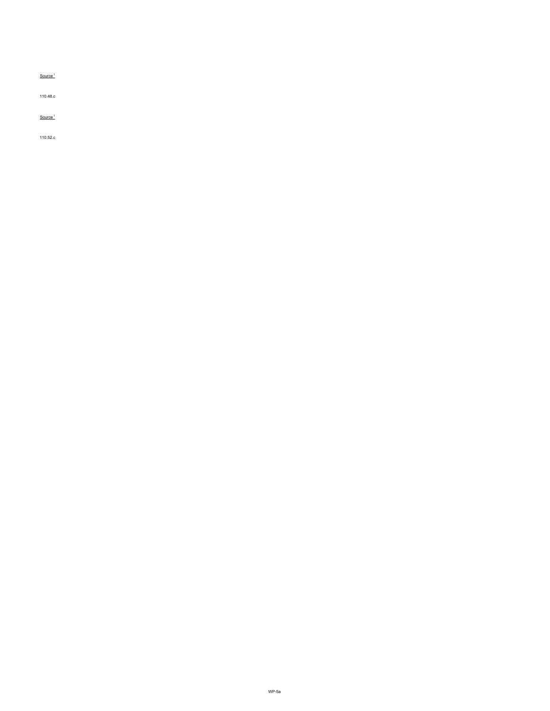$Source<sup>1</sup>$ 

110.48.c

## $Source<sup>1</sup>$

110.52.c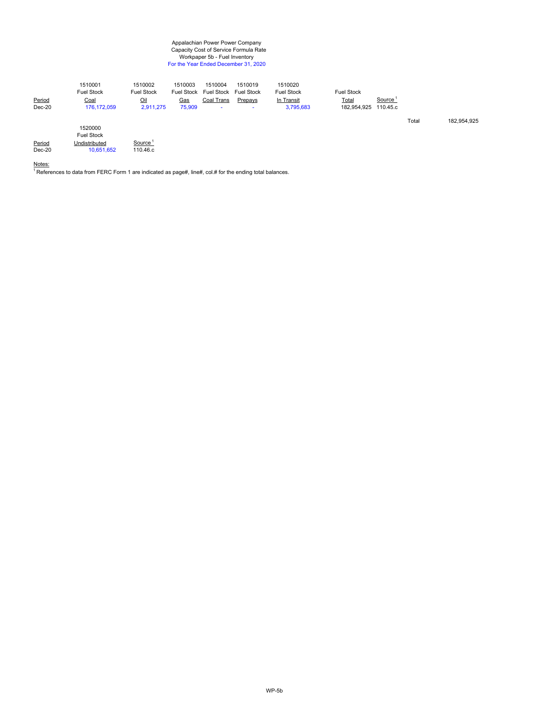#### Appalachian Power Power Company Workpaper 5b - Fuel Inventory For the Year Ended December 31, 2020 Capacity Cost of Service Formula Rate

| Period<br>$Dec-20$ | 1510001<br><b>Fuel Stock</b><br>Coal<br>176, 172, 059 | 1510002<br><b>Fuel Stock</b><br>Oil<br>2,911,275 | 1510003<br><b>Fuel Stock</b><br>Gas<br>75,909 | 1510004<br><b>Fuel Stock</b><br>Coal Trans | 1510019<br><b>Fuel Stock</b><br>Prepays | 1510020<br><b>Fuel Stock</b><br>In Transit<br>3,795,683 | <b>Fuel Stock</b><br><u>Total</u><br>182,954,925 | Source <sup>®</sup><br>110.45.c |       |             |
|--------------------|-------------------------------------------------------|--------------------------------------------------|-----------------------------------------------|--------------------------------------------|-----------------------------------------|---------------------------------------------------------|--------------------------------------------------|---------------------------------|-------|-------------|
| Period             | 1520000<br><b>Fuel Stock</b><br>I Indietributad       | Source                                           |                                               |                                            |                                         |                                                         |                                                  |                                 | Total | 182,954,925 |

Period Undistributed Source 1 Dec-20 10,651,652 110.46.c

Notes<u>:</u><br><sup>1</sup> References to data from FERC Form 1 are indicated as page#, line#, col.# for the ending total balances.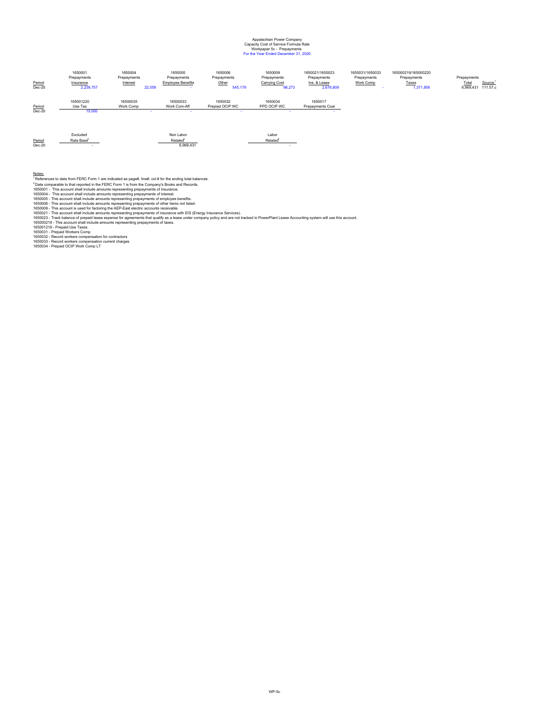#### Appalachian Power Company Workpaper 5c - Prepayments For the Year Ended December 31, 2020 Capacity Cost of Service Formula Rate

| Period<br>$Dec-20$ | 1650001<br>Prepayments<br>Insurance<br>2,239,757 | 1650004<br>Prepayments<br>Interest<br>22,559 | 1650005<br>Prepayments<br><b>Employee Benefits</b> | 1650006<br>Prepayments<br>Other<br>545,179 | 1650009<br>Prepayments<br>Carrying Cost<br>98,273 | 1650021/1650023<br>Prepayments<br>Ins. & Lease<br>2,676,809 | 1650031/1650033<br>Prepayments<br>Work Comp | 165000219/165000220<br>Prepayments<br>Taxes<br>1,371,856 | Prepayments<br>Total<br>Source <sup>1</sup><br>6,969,431 111.57.c |
|--------------------|--------------------------------------------------|----------------------------------------------|----------------------------------------------------|--------------------------------------------|---------------------------------------------------|-------------------------------------------------------------|---------------------------------------------|----------------------------------------------------------|-------------------------------------------------------------------|
| Period<br>$Dec-20$ | 165001220<br>Use Tax<br>15,000                   | 16500035<br>Work Comp                        | 16500033<br>Work Com-Aff                           | 1650032<br>Prepiad OCIP WC                 | 1650034<br>PPD OCIP WC                            | 1650017<br>Prepayments Coal                                 |                                             |                                                          |                                                                   |

|          |   | Alon.<br>-ahr | ∟abor<br>---- |
|----------|---|---------------|---------------|
| Period   |   |               |               |
| $Dec-20$ | ۰ |               |               |

Notes:<br>
Notes (Figure 2001)<br>
The discomparable to that reported in the FERC Form 1 is from the Company's Books and Records.<br>
"Data comparable to that reported in the FERC Form 1 is from the Company's Books and Records.<br>
16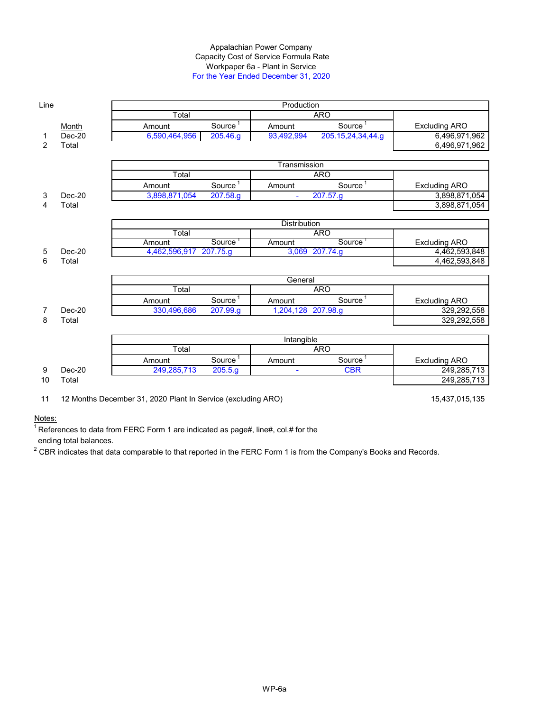#### Appalachian Power Company Workpaper 6a - Plant in Service For the Year Ended December 31, 2020 Capacity Cost of Service Formula Rate

| Line |          |                                                              |                       | Production          |                     |                      |
|------|----------|--------------------------------------------------------------|-----------------------|---------------------|---------------------|----------------------|
|      |          | Total                                                        |                       |                     | <b>ARO</b>          |                      |
|      | Month    | Amount                                                       | Source <sup>1</sup>   | Amount              | Source <sup>1</sup> | <b>Excluding ARO</b> |
| 1    | $Dec-20$ | 6,590,464,956                                                | 205.46.g              | 93,492,994          | 205.15,24,34,44.g   | 6,496,971,962        |
| 2    | Total    |                                                              |                       |                     |                     | 6,496,971,962        |
|      |          |                                                              |                       |                     |                     |                      |
|      |          |                                                              |                       | Transmission        |                     |                      |
|      |          | Total                                                        |                       |                     | <b>ARO</b>          |                      |
|      |          | Amount                                                       | Source <sup>1</sup>   | Amount              | Source <sup>1</sup> | <b>Excluding ARO</b> |
| 3    | $Dec-20$ | 3,898,871,054                                                | 207.58.g              | ÷.                  | 207.57.g            | 3,898,871,054        |
| 4    | Total    |                                                              |                       |                     |                     | 3,898,871,054        |
|      |          |                                                              |                       |                     |                     |                      |
|      |          |                                                              |                       | <b>Distribution</b> |                     |                      |
|      |          | Total                                                        |                       |                     | <b>ARO</b>          |                      |
|      |          | Amount                                                       | Source                | Amount              | Source              | <b>Excluding ARO</b> |
| 5    | $Dec-20$ | 4,462,596,917 207.75.g                                       |                       |                     | 3,069 207.74.g      | 4,462,593,848        |
| 6    | Total    |                                                              |                       |                     |                     | 4,462,593,848        |
|      |          |                                                              |                       | General             |                     |                      |
|      |          | Total                                                        |                       |                     | <b>ARO</b>          |                      |
|      |          | Amount                                                       | Source <sup>1</sup>   | Amount              | Source <sup>1</sup> | <b>Excluding ARO</b> |
| 7    | $Dec-20$ | 330,496,686                                                  | 207.99.g              | 1,204,128 207.98.g  |                     | 329,292,558          |
| 8    | Total    |                                                              |                       |                     |                     | 329,292,558          |
|      |          |                                                              |                       |                     |                     |                      |
|      |          |                                                              |                       | Intangible          |                     |                      |
|      |          | Total                                                        |                       |                     | <b>ARO</b>          |                      |
|      |          | Amount                                                       | Source $\overline{1}$ | Amount              | Source <sup>1</sup> | <b>Excluding ARO</b> |
| 9    | $Dec-20$ | 249,285,713                                                  | 205.5.9               |                     | <b>CBR</b>          | 249,285,713          |
| 10   | Total    |                                                              |                       |                     |                     | 249,285,713          |
| 11   |          | 12 Months December 31, 2020 Plant In Service (excluding ARO) |                       |                     |                     | 15,437,015,135       |

Notes:

 $^1$ References to data from FERC Form 1 are indicated as page#, line#, col.# for the

ending total balances.

 $^{\rm 2}$  CBR indicates that data comparable to that reported in the FERC Form 1 is from the Company's Books and Records.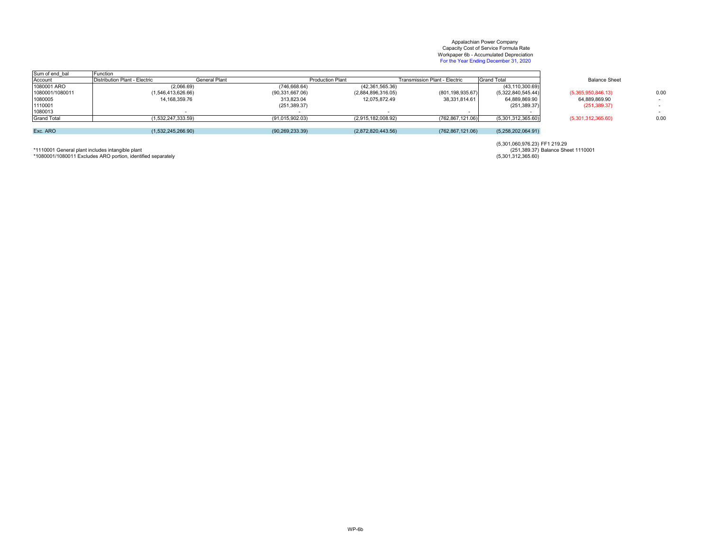#### Appalachian Power Company Workpaper 6b - Accumulated Depreciation For the Year Ending December 31, 2020 Capacity Cost of Service Formula Rate

| Sum of end bal     | Function                      |                   |                         |                               |                    |                      |      |
|--------------------|-------------------------------|-------------------|-------------------------|-------------------------------|--------------------|----------------------|------|
| Account            | Distribution Plant - Electric | General Plant     | <b>Production Plant</b> | Transmission Plant - Electric | <b>Grand Total</b> | <b>Balance Sheet</b> |      |
| 1080001 ARO        | (2,066.69)                    | (746, 668.64)     | (42, 361, 565.36)       |                               | (43, 110, 300.69)  |                      |      |
| 1080001/1080011    | (1,546,413,626.66)            | (90, 331, 667.06) | (2,884,896,316.05)      | (801, 198, 935.67)            | (5,322,840,545.44) | (5,365,950,846.13)   | 0.00 |
| 1080005            | 14, 168, 359. 76              | 313,823.04        | 12,075,872.49           | 38,331,814.61                 | 64,889,869.90      | 64,889,869.90        |      |
| 1110001            |                               | (251, 389.37)     |                         |                               | (251, 389.37)      | (251, 389.37)        |      |
| 1080013            |                               |                   |                         |                               |                    |                      |      |
| <b>Grand Total</b> | 1.532.247.333.59)             | (91,015,902.03)   | (2,915,182,008.92)      | (762, 867, 121.06)            | (5,301,312,365.60) | (5,301,312,365.60)   | 0.00 |
|                    |                               |                   |                         |                               |                    |                      |      |
| Exc. ARO           | (1,532,245,266.90)            | (90, 269, 233.39) | (2,872,820,443.56)      | (762, 867, 121.06)            | (5,258,202,064.91) |                      |      |

 FF1 219.29 (5,301,060,976.23) \*1110001 General plant includes intangible plant Balance Sheet 1110001 (251,389.37) \*1080001/1080011 Excludes ARO portion, identified separately (5,301,312,365.60)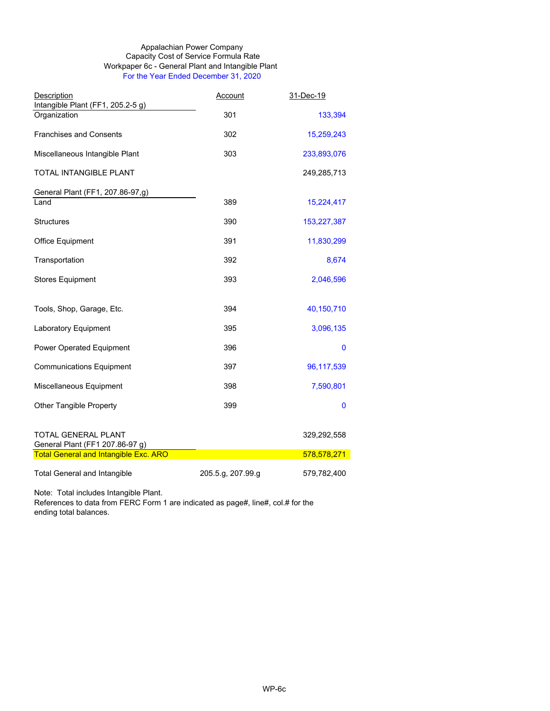#### Appalachian Power Company Workpaper 6c - General Plant and Intangible Plant For the Year Ended December 31, 2020 Capacity Cost of Service Formula Rate

| Description                                            | <b>Account</b>    | 31-Dec-19   |
|--------------------------------------------------------|-------------------|-------------|
| Intangible Plant (FF1, 205.2-5 g)                      |                   |             |
| Organization                                           | 301               | 133,394     |
| <b>Franchises and Consents</b>                         | 302               | 15,259,243  |
| Miscellaneous Intangible Plant                         | 303               | 233,893,076 |
| TOTAL INTANGIBLE PLANT                                 |                   | 249,285,713 |
| General Plant (FF1, 207.86-97,g)                       |                   |             |
| Land                                                   | 389               | 15,224,417  |
| <b>Structures</b>                                      | 390               | 153,227,387 |
| <b>Office Equipment</b>                                | 391               | 11,830,299  |
| Transportation                                         | 392               | 8,674       |
| <b>Stores Equipment</b>                                | 393               | 2,046,596   |
|                                                        |                   |             |
| Tools, Shop, Garage, Etc.                              | 394               | 40,150,710  |
| Laboratory Equipment                                   | 395               | 3,096,135   |
| <b>Power Operated Equipment</b>                        | 396               | $\mathbf 0$ |
| <b>Communications Equipment</b>                        | 397               | 96,117,539  |
| Miscellaneous Equipment                                | 398               | 7,590,801   |
| <b>Other Tangible Property</b>                         | 399               | 0           |
| TOTAL GENERAL PLANT<br>General Plant (FF1 207.86-97 g) |                   | 329,292,558 |
| <b>Total General and Intangible Exc. ARO</b>           |                   | 578,578,271 |
| <b>Total General and Intangible</b>                    | 205.5.g, 207.99.g | 579,782,400 |

Note: Total includes Intangible Plant.

References to data from FERC Form 1 are indicated as page#, line#, col.# for the ending total balances.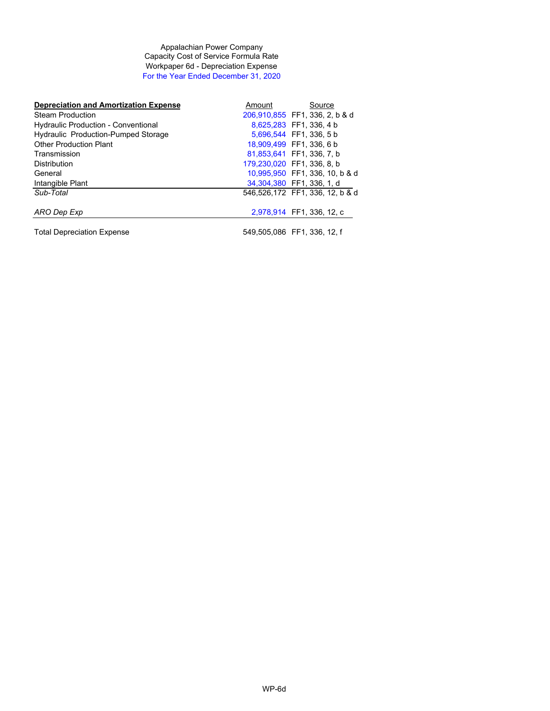Appalachian Power Company Capacity Cost of Service Formula Rate Workpaper 6d - Depreciation Expense For the Year Ended December 31, 2020

| <b>Depreciation and Amortization Expense</b> | Amount | Source                          |
|----------------------------------------------|--------|---------------------------------|
| <b>Steam Production</b>                      |        | 206,910,855 FF1, 336, 2, b & d  |
| <b>Hydraulic Production - Conventional</b>   |        | 8,625,283 FF1, 336, 4 b         |
| <b>Hydraulic Production-Pumped Storage</b>   |        | 5.696.544 FF1.336.5b            |
| <b>Other Production Plant</b>                |        | 18.909.499 FF1. 336. 6 b        |
| Transmission                                 |        | 81.853.641 FF1. 336. 7. b       |
| <b>Distribution</b>                          |        | 179.230.020 FF1. 336. 8. b      |
| General                                      |        | 10.995.950 FF1, 336, 10, b & d  |
| Intangible Plant                             |        | 34.304.380 FF1. 336. 1. d       |
| Sub-Total                                    |        | 546,526,172 FF1, 336, 12, b & d |
| ARO Dep Exp                                  |        | 2,978,914 FF1, 336, 12, c       |
| <b>Total Depreciation Expense</b>            |        | 549.505.086 FF1.336.12.f        |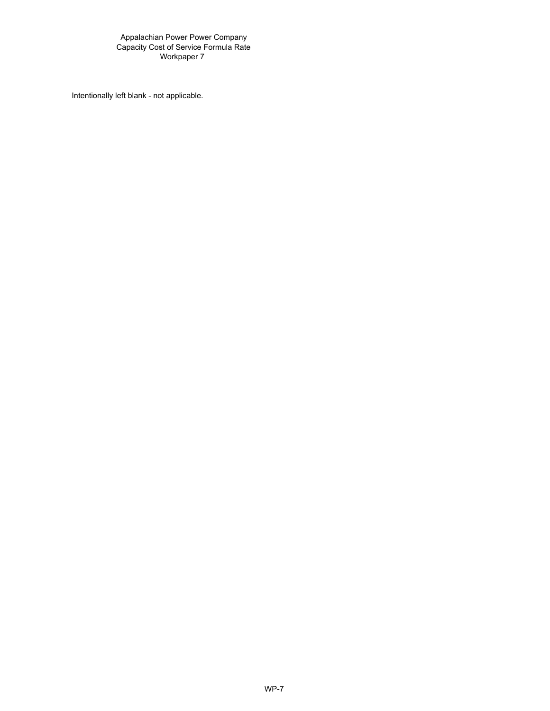Appalachian Power Power Company Capacity Cost of Service Formula Rate Workpaper 7

Intentionally left blank - not applicable.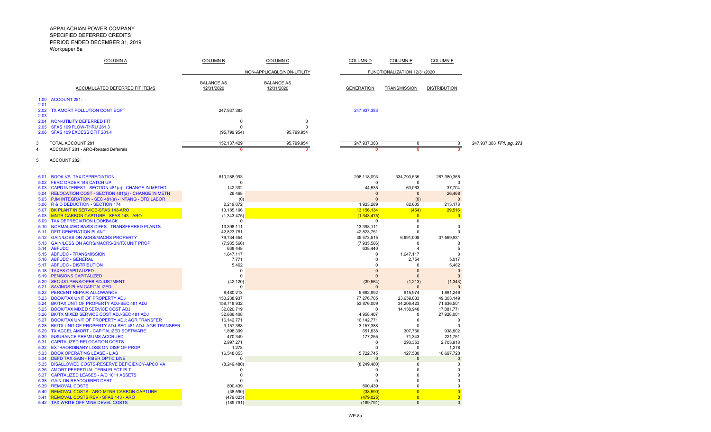|                      | <b>COLUMN A</b>                                                                                   | <b>COLUMN B</b>                 | <b>COLUMN C</b>                 | <b>COLUMN D</b>           | <b>COLUMN E</b>              | <b>COLUMN F</b>           |                          |
|----------------------|---------------------------------------------------------------------------------------------------|---------------------------------|---------------------------------|---------------------------|------------------------------|---------------------------|--------------------------|
|                      |                                                                                                   |                                 | NON-APPLICABLE/NON-UTILITY      |                           | FUNCTIONALIZATION 12/31/2020 |                           |                          |
|                      | <b>ACCUMULATED DEFERRED FIT ITEMS</b>                                                             | <b>BALANCE AS</b><br>12/31/2020 | <b>BALANCE AS</b><br>12/31/2020 | <b>GENERATION</b>         | <b>TRANSMISSION</b>          | <b>DISTRIBUTION</b>       |                          |
| 1.00                 | <b>ACCOUNT 281:</b>                                                                               |                                 |                                 |                           |                              |                           |                          |
| 2.01<br>2.02<br>2.03 | TX AMORT POLLUTION CONT EQPT                                                                      | 247,937,383                     |                                 | 247,937,383               |                              |                           |                          |
| 2.04                 | NON-UTILITY DEFERRED FIT                                                                          | $\Omega$                        | <sup>0</sup>                    |                           |                              |                           |                          |
| 2.05<br>2.06         | SFAS 109 FLOW-THRU 281.3<br>SFAS 109 EXCESS DFIT 281.4                                            | $\Omega$                        | $\Omega$<br>95,799,954          |                           |                              |                           |                          |
|                      |                                                                                                   | (95,799,954)                    |                                 |                           |                              |                           |                          |
| 3                    | TOTAL ACCOUNT 281                                                                                 | 152, 137, 429                   | 95,799,954                      | 247,937,383               | 0                            | 0                         | 247,937,383 FF1, pg. 273 |
| Δ                    | ACCOUNT 281 - ARO-Related Deferrals                                                               | $\Omega$                        | $\Omega$                        | O                         | n                            | $\mathbf{0}$              |                          |
| 5                    | ACCOUNT 282:                                                                                      |                                 |                                 |                           |                              |                           |                          |
| 5.01                 | <b>BOOK VS. TAX DEPRECIATION</b>                                                                  | 810,288,993                     |                                 | 208,118,093               | 334,790,535                  | 267,380,365               |                          |
| 5.02                 | FERC ORDER 144 CATCH UP<br>5.03 CAPD INTEREST - SECTION 481(a) - CHANGE IN METHD                  | $\Omega$<br>142,302             |                                 | $\Omega$<br>44,535        | 0<br>60,063                  | $\Omega$<br>37,704        |                          |
|                      | 5.04 RELOCATION COST - SECTION 481(a) - CHANGE IN METH                                            | 26,468                          |                                 | $\Omega$                  | $\Omega$                     | 26,468                    |                          |
|                      | 5.05 PJM INTEGRATION - SEC 481(a) - INTANG - DFD LABOR                                            | (0)                             |                                 | $\Omega$                  | (0)                          | $\mathbf{0}$              |                          |
|                      | 5.06 R & D DEDUCTION - SECTION 174<br>5.07 BK PLANT IN SERVICE-SFAS 143-ARO                       | 2,219,072<br>13,185,196         |                                 | 1,923,289<br>13,156,134   | 82,605<br>(454)              | 213,178<br>29,516         |                          |
| 5.08                 | <b>MNTR CARBON CAPTURE - SFAS 143 - ARO</b>                                                       | (1,343,475)                     |                                 | (1,343,475)               | $\overline{0}$               | $\overline{0}$            |                          |
| 5.09                 | <b>TAX DEPRECIATION LOOKBACK</b>                                                                  | $\Omega$                        |                                 | $\Omega$                  | 0                            |                           |                          |
| 5.10                 | NORMALIZED BASIS DIFFS - TRANSFERRED PLANTS                                                       | 13,398,111                      |                                 | 13,398,111                | $\Omega$                     | $\Omega$                  |                          |
| 5.11<br>5.12         | <b>DFIT GENERATION PLANT</b><br><b>GAIN/LOSS ON ACRS/MACRS PROPERTY</b>                           | 42,823,751<br>79,734,454        |                                 | 42,823,751<br>35,473,515  | $\Omega$<br>6,691,008        | $\Omega$<br>37,569,931    |                          |
| 5.13                 | <b>GAIN/LOSS ON ACRS/MACRS-BK/TX UNIT PROP</b>                                                    | (7,935,566)                     |                                 | (7,935,566)               | $\Omega$                     | $\Omega$                  |                          |
| 5.14                 | <b>ABFUDC</b>                                                                                     | 638,448                         |                                 | 638,440                   | 4                            | -5                        |                          |
| 5.15                 | <b>ABFUDC - TRANSMISSION</b>                                                                      | 1,647,117                       |                                 | 0                         | 1,647,117                    | $\Omega$                  |                          |
| 5.16<br>5.17         | <b>ABFUDC - GENERAL</b><br><b>ABFUDC - DISTRIBUTION</b>                                           | 7,771<br>5,462                  |                                 | $\Omega$<br>$\Omega$      | 2,754<br>$\Omega$            | 5,017<br>5,462            |                          |
| 5.18                 | <b>TAXES CAPITALIZED</b>                                                                          | $\Omega$                        |                                 | $\Omega$                  | $\mathbf 0$                  | $\mathbf 0$               |                          |
| 5.19                 | <b>PENSIONS CAPITALIZED</b>                                                                       | $\Omega$                        |                                 | $\Omega$                  | $\Omega$                     | $\Omega$                  |                          |
| 5.20                 | <b>SEC 481 PENS/OPEB ADJUSTMENT</b>                                                               | (42, 120)                       |                                 | (39, 564)                 | (1, 213)                     | (1, 343)                  |                          |
| 5.22                 | 5.21 SAVINGS PLAN CAPITALIZED<br><b>PERCENT REPAIR ALLOWANCE</b>                                  | n<br>8,480,213                  |                                 | 5,682,992                 | $\Omega$<br>915,974          | $\Omega$<br>1,881,246     |                          |
|                      | 5.23 BOOK/TAX UNIT OF PROPERTY ADJ                                                                | 150,238,937                     |                                 | 77,276,705                | 23,659,083                   | 49,303,149                |                          |
|                      | 5.24 BK/TAX UNIT OF PROPERTY ADJ-SEC 481 ADJ                                                      | 159,718,932                     |                                 | 53,876,009                | 34,206,423                   | 71,636,501                |                          |
|                      | 5.25 BOOK/TAX MIXED SERVICE COST ADJ                                                              | 32,020,719                      |                                 | $\Omega$                  | 14,138,948                   | 17,881,771                |                          |
|                      | 5.26 BK/TX MIXED SERVICE COST ADJ-SEC 481 ADJ<br>5.27 BOOK/TAX UNIT OF PROPERTY ADJ: AGR TRANSFER | 32,886,408<br>16, 142, 771      |                                 | 4,958,407<br>16, 142, 771 | 0<br>$\mathbf 0$             | 27,928,001<br>$\mathbf 0$ |                          |
|                      | 5.28 BK/TX UNIT OF PROPERTY ADJ-SEC 481 ADJ: AGR TRANSFER                                         | 3,157,388                       |                                 | 3,157,388                 | $\Omega$                     | $\mathbf 0$               |                          |
| 5.29                 | TX ACCEL AMORT - CAPITALIZED SOFTWARE                                                             | 1,898,399                       |                                 | 651,838                   | 307,760                      | 938,802                   |                          |
| 5.30                 | <b>INSURANCE PREMIUMS ACCRUED</b>                                                                 | 470,349                         |                                 | 177,255                   | 71,343                       | 221,751                   |                          |
| 5.31                 | <b>CAPITALIZED RELOCATION COSTS</b>                                                               | 2,997,271                       |                                 | 0<br>$\Omega$             | 293,353<br>$\Omega$          | 2,703,918                 |                          |
| 5.32<br>5.33         | <b>EXTRAORDINARY LOSS ON DISP OF PROP</b><br><b>BOOK OPERATING LEASE - LIAB</b>                   | 1,278<br>16,548,053             |                                 | 5,722,745                 | 127,580                      | 1,278<br>10,697,728       |                          |
|                      | 5.34 DEFD TAX GAIN - FIBER OPTIC LINE                                                             | $\Omega$                        |                                 | $\Omega$                  | $\Omega$                     | $\Omega$                  |                          |
| 5.35                 | DISALLOWED COSTS-RESERVE DEFICIENCY-APCO VA                                                       | (8,249,480)                     |                                 | (8, 249, 480)             | 0                            | 0                         |                          |
| 5.36                 | AMORT PERPETUAL TERM ELECT PLT                                                                    | 0<br>$\Omega$                   |                                 | 0<br>$\Omega$             | 0                            | 0<br>$\Omega$             |                          |
| 5.37<br>5.38         | CAPITALIZED LEASES - A/C 1011 ASSETS<br><b>GAIN ON REACQUIRED DEBT</b>                            | $\Omega$                        |                                 | $\Omega$                  | $\Omega$<br>$\Omega$         | $\Omega$                  |                          |
| 5.39                 | <b>REMOVAL COSTS</b>                                                                              | 800,439                         |                                 | 800,439                   | $\Omega$                     | $\Omega$                  |                          |
| 5.40                 | REMOVAL COSTS - ARO-MTNR CARBON CAPTURE                                                           | (38, 590)                       |                                 | (38,590)                  | $\overline{0}$               | $\Omega$                  |                          |
| 5.41                 | <b>REMOVAL COSTS REV - SFAS 143 - ARO</b>                                                         | (479, 025)                      |                                 | (479, 025)                | $\overline{0}$               | $\Omega$                  |                          |
|                      | 5.42 TAX WRITE OFF MINE DEVEL COSTS                                                               | (189, 791)                      |                                 | (189, 791)                | $\Omega$                     | $\Omega$                  |                          |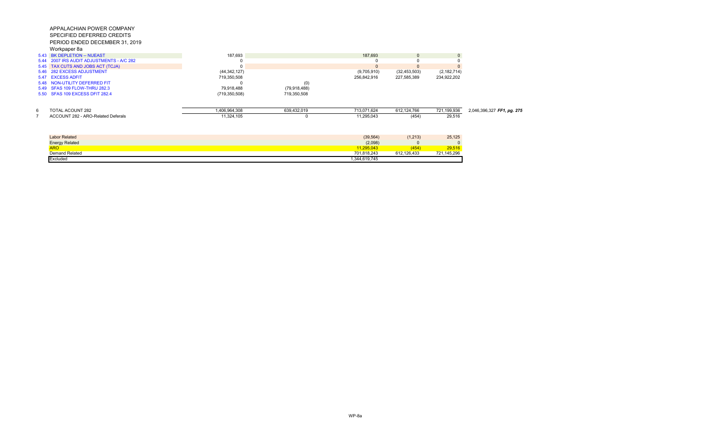|      | 5.43 BK DEPLETION -- NUEAST               | 187.693         |                | 187.693     |                | $\mathbf{0}$  |                            |
|------|-------------------------------------------|-----------------|----------------|-------------|----------------|---------------|----------------------------|
|      | 5.44 2007 IRS AUDIT ADJUSTMENTS - A/C 282 |                 |                |             |                |               |                            |
|      | 5.45 TAX CUTS AND JOBS ACT (TCJA)         |                 |                |             |                | $\Omega$      |                            |
|      | 5.46 282 EXCESS ADJUSTMENT                | (44, 342, 127)  |                | (9,705,910) | (32, 453, 503) | (2, 182, 714) |                            |
| 5.47 | <b>EXCESS ADFIT</b>                       | 719,350,508     |                | 256,842,916 | 227,585,389    | 234,922,202   |                            |
|      | 5.48 NON-UTILITY DEFERRED FIT             |                 | (0)            |             |                |               |                            |
|      | 5.49 SFAS 109 FLOW-THRU 282.3             | 79,918,488      | (79, 918, 488) |             |                |               |                            |
|      | 5.50 SFAS 109 EXCESS DFIT 282.4           | (719, 350, 508) | 719,350,508    |             |                |               |                            |
| 6    | <b>TOTAL ACOUNT 282</b>                   | 1,406,964,308   | 639,432,019    | 713,071,624 | 612,124,766    | 721,199,936   | 2,046,396,327 FF1, pg. 275 |
|      | ACCOUNT 282 - ARO-Related Deferals        | 11,324,105      |                | 11,295,043  | (454)          | 29,516        |                            |
|      |                                           |                 |                |             |                |               |                            |
|      |                                           |                 |                |             |                |               |                            |
|      | <b>Labor Related</b>                      |                 |                | (39, 564)   | (1,213)        | 25,125        |                            |
|      | <b>Energy Related</b>                     |                 |                | (2,098)     |                |               |                            |
|      |                                           |                 |                |             |                |               |                            |

| <b>Energy Related</b><br>. | (2,098)                  |                                            |                    |
|----------------------------|--------------------------|--------------------------------------------|--------------------|
| <b>ARO</b>                 |                          | TV-                                        | FAC                |
| Demand Related             | 701 818 243<br>.         | 100.105<br>$\sim$ . $\sim$<br>LZD 43.<br>. | 15 20 <sub>6</sub> |
| <b>Excluded</b>            | 0.4400745<br>19.745<br>n |                                            |                    |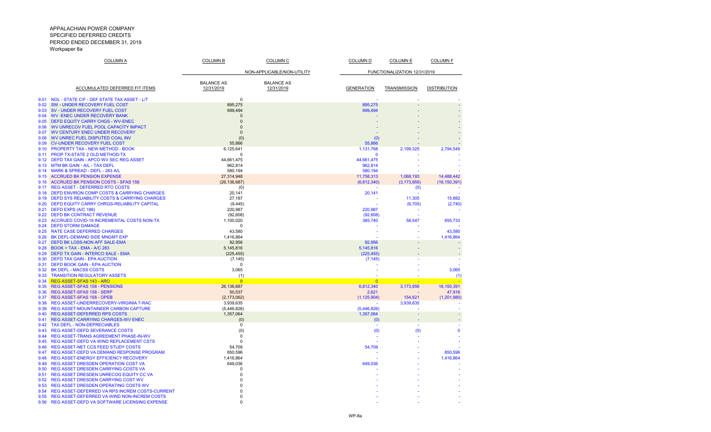| <u>COLUMN A</u>                                                                                       | <u>COLUMN B</u>            | <b>COLUMN C</b>   | <u>COLUMN D</u>              | <u>COLUMN E</u>     | <u>COLUMN F</u>     |
|-------------------------------------------------------------------------------------------------------|----------------------------|-------------------|------------------------------|---------------------|---------------------|
|                                                                                                       | NON-APPLICABLE/NON-UTILITY |                   | FUNCTIONALIZATION 12/31/2019 |                     |                     |
|                                                                                                       | <b>BALANCE AS</b>          | <b>BALANCE AS</b> |                              |                     |                     |
| ACCUMULATED DEFERRED FIT ITEMS                                                                        | 12/31/2019                 | 12/31/2019        | <b>GENERATION</b>            | <b>TRANSMISSION</b> | <b>DISTRIBUTION</b> |
| 9.01<br>NOL - STATE C/F - DEF STATE TAX ASSET - L/T                                                   | $\Omega$                   |                   |                              |                     |                     |
| <b>SW - UNDER RECOVERY FUEL COST</b><br>9.02                                                          | 895,275                    |                   | 895,275                      |                     |                     |
| SV - UNDER RECOVERY FUEL COST<br>9.03                                                                 | 699,494                    |                   | 699,494                      |                     |                     |
| <b>WV-ENEC UNDER RECOVERY BANK</b><br>9.04                                                            | $\Omega$                   |                   |                              |                     |                     |
| 9.05<br><b>DEFD EQUITY CARRY CHGS - WV-ENEC</b>                                                       | $\Omega$                   |                   |                              |                     |                     |
| WV UNRECOV FUEL POOL CAPACITY IMPACT<br>9.06                                                          | $\Omega$                   |                   |                              |                     |                     |
| <b>WV CENTURY ENEC UNDER RECOVERY</b><br>9.07                                                         | $\Omega$                   |                   |                              |                     |                     |
| 9.08<br>WV UNREC FUEL DISPUTED COAL INV<br><b>CV-UNDER RECOVERY FUEL COST</b><br>9.09                 | (0)                        |                   | (0)                          |                     |                     |
| PROPERTY TAX - NEW METHOD - BOOK<br>9.10                                                              | 55,866<br>6,125,641        |                   | 55,866<br>1,131,768          | 2,199,325           | 2,794,549           |
| <b>PROP TX-STATE 2 OLD METHOD-TX</b><br>9.11                                                          | $\Omega$                   |                   | $\Omega$                     |                     |                     |
| DEFD TAX GAIN - APCO WV SEC REG ASSET<br>9.12                                                         | 44,661,475                 |                   | 44,661,475                   |                     |                     |
| MTM BK GAIN - A/L - TAX DEFL<br>9.13                                                                  | 962,814                    |                   | 962,814                      |                     |                     |
| <b>MARK &amp; SPREAD - DEFL - 283 A/L</b><br>914                                                      | 580.194                    |                   | 580.194                      |                     |                     |
| <b>ACCRUED BK PENSION EXPENSE</b><br>9.15                                                             | 27,314,948                 |                   | 11,758,313                   | 1,068,193           | 14,488,442          |
| <b>ACCRUED BK PENSION COSTS - SFAS 158</b><br>9.16                                                    | (26, 136, 687)             |                   | (6,812,340)                  | (3, 173, 956)       | (16, 150, 391)      |
| <b>REG ASSET - DEFERRED RTO COSTS</b><br>9.17                                                         | (0)                        |                   |                              | (0)                 |                     |
| <b>DEFD ENVIRON COMP COSTS &amp; CARRYING CHARGES</b><br>9.18                                         | 20,141                     |                   | 20,141                       |                     |                     |
| <b>DEFD SYS RELIABILITY COSTS &amp; CARRYING CHARGES</b><br>9.19                                      | 27,187                     |                   |                              | 11,305              | 15,882              |
| DEFD EQUITY CARRY CHRGS-RELIABILITY CAPITAL<br>9.20                                                   | (9, 445)                   |                   |                              | (6,705)             | (2,740)             |
| DEFD EXPS (A/C 186)<br>9.21                                                                           | 220,987                    |                   | 220,987                      |                     |                     |
| <b>DEFD BK CONTRACT REVENUE</b><br>9.22                                                               | (92, 608)                  |                   | (92, 608)                    |                     |                     |
| 9.23<br>ACCRUED COVID-19 INCREMENTAL COSTS NON-TX                                                     | 1.100.020                  |                   | 385,740                      | 58,547              | 655,733             |
| <b>DEFD STORM DAMAGE</b><br>9.24<br><b>RATE CASE DEFERRED CHARGES</b><br>9.25                         | $\Omega$                   |                   |                              |                     |                     |
| 9.26<br>BK DEFL-DEMAND SIDE MNGMT EXP                                                                 | 43,580<br>1,416,864        |                   |                              |                     | 43,580<br>1,416,864 |
| DEFD BK LOSS-NON AFF SALE-EMA<br>9.27                                                                 | 92,956                     |                   | 92.956                       |                     |                     |
| <b>BOOK &gt; TAX - EMA - A/C 283</b><br>9.28                                                          | 5,145,816                  |                   | 5,145,816                    |                     |                     |
| DEFD TX GAIN - INTERCO SALE - EMA<br>9.29                                                             | (225, 455)                 |                   | (225, 455)                   |                     |                     |
| <b>DEFD TAX GAIN - EPA AUCTION</b><br>9.30                                                            | (7, 145)                   |                   | (7, 145)                     |                     |                     |
| <b>DEFD BOOK GAIN - EPA AUCTION</b><br>9.31                                                           | $\Omega$                   |                   |                              |                     |                     |
| <b>BK DEFL - MACSS COSTS</b><br>9.32                                                                  | 3,065                      |                   |                              |                     | 3,065               |
| <b>TRANSITION REGULATORY ASSETS</b><br>9.33                                                           | (1)                        |                   |                              |                     | (1)                 |
| 9.34<br><b>REG ASSET-SFAS 143 - ARO</b>                                                               | $\overline{0}$             |                   | $\Omega$                     |                     | <b>Simple</b>       |
| 9.35<br>REG ASSET-SFAS 158 - PENSIONS                                                                 | 26,136,687                 |                   | 6,812,340                    | 3,173,956           | 16, 150, 391        |
| <b>REG ASSET-SFAS 158 - SERP</b><br>9.36                                                              | 50,537                     |                   | 2,621                        |                     | 47,916              |
| 9.37<br><b>REG ASSET-SFAS 158 - OPEB</b>                                                              | (2, 173, 062)              |                   | (1, 125, 904)                | 154,821             | (1,201,980)         |
| REG ASSET-UNDERRECOVERY-VIRGINIA T-RAC<br>9.38                                                        | 3,939,635                  |                   |                              | 3,939,635           |                     |
| 9.39<br>REG ASSET-MOUNTAINEER CARBON CAPTURE<br>9.40<br><b>REG ASSET-DEFERRED RPS COSTS</b>           | (5,446,826)<br>1,357,064   |                   | (5,446,826)<br>1,357,064     |                     |                     |
| <b>REG ASSET-CARRYING CHARGES-WV ENEC</b><br>9.41                                                     | (0)                        |                   | (0)                          |                     |                     |
| <b>TAX DEFL - NON-DEPRECIABLES</b><br>9.42                                                            | 0                          |                   |                              |                     |                     |
| <b>REG ASSET-DEFD SEVERANCE COSTS</b><br>9.43                                                         | (0)                        |                   | (0)                          | (0)                 | $\Omega$            |
| 9.44<br>REG ASSET-TRANS AGREEMENT PHASE-IN-WV                                                         | $\Omega$                   |                   |                              |                     |                     |
| REG ASSET-DEFD VA WIND REPLACEMENT CSTS<br>9.45                                                       | $\Omega$                   |                   |                              |                     |                     |
| <b>REG ASSET-NET CCS FEED STUDY COSTS</b><br>9.46                                                     | 54.709                     |                   | 54,709                       |                     |                     |
| REG ASSET-DEFD VA DEMAND RESPONSE PROGRAM<br>9.47                                                     | 850,596                    |                   |                              |                     | 850,596             |
| REG ASSET-ENERGY EFFICIENCY RECOVERY<br>9.48                                                          | 1,416,864                  |                   |                              |                     | 1,416,864           |
| <b>REG ASSET DRESDEN OPERATION COST VA</b><br>9.49                                                    | 649,036                    |                   | 649,036                      |                     |                     |
| <b>REG ASSET DRESDEN CARRYING COSTS VA</b><br>9.50                                                    | $\Omega$                   |                   |                              |                     |                     |
| <b>REG ASSET DRESDEN UNRECOG EQUITY CC VA</b><br>9.51                                                 | $\mathbf 0$                |                   |                              |                     |                     |
| <b>REG ASSET DRESDEN CARRYING COST WV</b><br>9.52<br>9.53                                             | $\Omega$<br>C              |                   |                              |                     |                     |
| <b>REG ASSET DRESDEN OPERATING COSTS WV</b><br>REG ASSET-DEFERRED VA RPS INCREM COSTS-CURRENT<br>9.54 |                            |                   |                              |                     |                     |
| REG ASSET-DEFERRED VA WIND NON-INCREM COSTS<br>9.55                                                   | $\Omega$                   |                   |                              |                     |                     |
| REG ASSET-DEFD VA SOFTWARE LICENSING EXPENSE<br>9.56                                                  | $\Omega$                   |                   |                              |                     |                     |
|                                                                                                       |                            |                   |                              |                     |                     |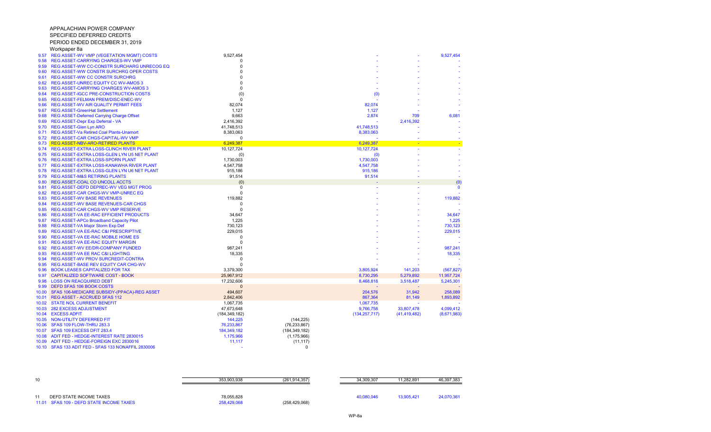| 10                                                                  | 353.903.938               | (261.914.357)   | 34.309.307 | 1.282.891  | 46.397.383 |
|---------------------------------------------------------------------|---------------------------|-----------------|------------|------------|------------|
| DEFD STATE INCOME TAXES<br>11.01 SFAS 109 - DEFD STATE INCOME TAXES | 78,055,828<br>258,429,068 | (258, 429, 068) | 40.080.046 | 13.905.421 | 24,070,361 |

| 9.57  | REG ASSET-WV VMP (VEGETATION MGMT) COSTS            | 9,527,454               |                 |                 |                | 9,527,454      |
|-------|-----------------------------------------------------|-------------------------|-----------------|-----------------|----------------|----------------|
| 9.58  | REG ASSET-CARRYING CHARGES-WV VMP                   | $\Omega$                |                 |                 |                |                |
| 9.59  | <b>REG ASSET-WW CC-CONSTR SURCHARG UNRECOG EQ</b>   | $\Omega$                |                 |                 |                |                |
| 9.60  | <b>REG ASSET-WW CONSTR SURCHRG OPER COSTS</b>       | r                       |                 |                 |                |                |
| 9.61  | <b>REG ASSET-WW CC CONSTR SURCHRG</b>               |                         |                 |                 |                |                |
| 9.62  | <b>REG ASSET-UNREC EQUITY CC WV-AMOS 3</b>          |                         |                 |                 |                |                |
| 9.63  | REG ASSET-CARRYING CHARGES WV-AMOS 3                | $\Omega$                |                 |                 |                |                |
| 9.64  | <b>REG ASSET-IGCC PRE-CONSTRUCTION COSTS</b>        | (0)                     |                 | (0)             |                |                |
| 9.65  | REG ASSET-FELMAN PREM/DISC-ENEC-WV                  | $\Omega$                |                 |                 |                |                |
| 9.66  | REG ASSET-WV AIR QUALITY PERMIT FEES                | 82,074                  |                 | 82,074          |                |                |
| 9.67  | <b>REG ASSET-GreenHat Settlement</b>                | 1,127                   |                 | 1,127           |                |                |
| 9.68  | REG ASSET-Deferred Carrying Charge Offset           | 9,663                   |                 | 2,874           | 709            | 6,081          |
| 9.69  | REG ASSET-Depr Exp Deferral - VA                    | 2,416,392               |                 |                 | 2,416,392      |                |
| 9.70  | <b>REG ASSET-Glen Lyn ARO</b>                       | 41,748,513              |                 | 41,748,513      |                |                |
| 9.71  | <b>REG ASSET-Va Retired Coal Plants-Unamort</b>     | 8,383,063               |                 | 8,383,063       |                |                |
| 9.72  | REG ASSET-CAR CHGS-CAPITAL-WV VMP                   | $\Omega$                |                 |                 |                |                |
|       | 9.73 REG ASSET-NBV-ARO-RETIRED PLANTS               | 6,249,387               |                 | 6,249,387       | ٠              | $\mathbf{u}$ . |
| 9.74  | REG ASSET-EXTRA LOSS-CLINCH RIVER PLANT             | 10,127,724              |                 | 10,127,724      |                |                |
| 9.75  | REG ASSET-EXTRA LOSS-GLEN LYN U5 NET PLANT          | (0)                     |                 | (0)             |                |                |
| 9.76  | <b>REG ASSET-EXTRA LOSS-SPORN PLANT</b>             | 1,730,003               |                 | 1,730,003       |                |                |
| 9.77  | REG ASSET-EXTRA LOSS-KANAWHA RIVER PLANT            | 4,547,758               |                 | 4,547,758       |                |                |
| 9.78  | REG ASSET-EXTRA LOSS-GLEN LYN U6 NET PLANT          | 915,186                 |                 | 915,186         |                |                |
| 9.79  | <b>REG ASSET-M&amp;S RETIRING PLANTS</b>            |                         |                 |                 |                |                |
| 9.80  | <b>REG ASSET-COAL CO UNCOLL ACCTS</b>               | 91,514                  |                 | 91,514          |                |                |
|       |                                                     | (0)                     |                 |                 |                | (0)            |
| 9.81  | REG ASSET-DEFD DEPREC-WV VEG MGT PROG               | $\mathbf 0$<br>$\Omega$ |                 |                 |                | $\mathbf{0}$   |
| 9.82  | REG ASSET-CAR CHGS-WV VMP-UNREC EQ                  |                         |                 |                 |                |                |
| 9.83  | <b>REG ASSET-WV BASE REVENUES</b>                   | 119,882                 |                 |                 |                | 119,882        |
| 9.84  | <b>REG ASSET-WV BASE REVENUES-CAR CHGS</b>          | $\Omega$                |                 |                 |                |                |
| 9.85  | REG ASSET-CAR CHGS-WV VMP RESERVE                   | $\Omega$                |                 |                 |                |                |
| 9.86  | REG ASSET-VA EE-RAC EFFICIENT PRODUCTS              | 34,647                  |                 |                 |                | 34,647         |
| 9.87  | REG ASSET-APCo Broadband Capacity Pilot             | 1,225                   |                 |                 |                | 1,225          |
| 9.88  | <b>REG ASSET-VA Major Storm Exp Def</b>             | 730,123                 |                 |                 |                | 730,123        |
| 9.89  | <b>REG ASSET-VA EE-RAC C&amp;I PRESCRIPTIVE</b>     | 229,015                 |                 |                 |                | 229,015        |
| 9.90  | REG ASSET-VA EE-RAC MOBILE HOME ES                  | $\Omega$                |                 |                 |                |                |
| 9.91  | <b>REG ASSET-VA EE-RAC EQUITY MARGIN</b>            | $\Omega$                |                 |                 |                |                |
| 9.92  | REG ASSET-WV EE/DR-COMPANY FUNDED                   | 987,241                 |                 |                 |                | 987,241        |
| 9.93  | <b>REG ASSET-VA EE RAC C&amp;I LIGHTING</b>         | 18,335                  |                 |                 |                | 18,335         |
| 9.94  | <b>REG ASSET-WV PROV SURCREDIT-CONTRA</b>           | $\Omega$                |                 |                 |                |                |
| 9.95  | <b>REG ASSET-BASE REV EQUITY CAR CHG-WV</b>         | $\Omega$                |                 |                 |                |                |
| 9.96  | <b>BOOK LEASES CAPITALIZED FOR TAX</b>              | 3,379,300               |                 | 3,805,924       | 141,203        | (567, 827)     |
| 9.97  | <b>CAPITALIZED SOFTWARE COST - BOOK</b>             | 25,967,912              |                 | 8,730,295       | 5,279,892      | 11,957,724     |
| 9.98  | <b>LOSS ON REACQUIRED DEBT</b>                      | 17,232,606              |                 | 8,468,818       | 3,518,487      | 5,245,301      |
| 9.99  | <b>DEFD SFAS 106 BOOK COSTS</b>                     | $\Omega$                |                 |                 |                |                |
| 10.00 | SFAS 106-MEDICARE SUBSIDY-(PPACA)-REG ASSET         | 494,607                 |                 | 204,576         | 31,942         | 258,089        |
| 10.01 | <b>REG ASSET - ACCRUED SFAS 112</b>                 | 2,842,406               |                 | 867,364         | 81,149         | 1,893,892      |
|       | 10.02 STATE NOL CURRENT BENEFIT                     | 1,067,735               |                 | 1,067,735       |                |                |
| 10.03 | <b>282 EXCESS ADJUSTMENT</b>                        | 47,673,648              |                 | 9,766,758       | 33,807,478     | 4,099,412      |
| 10.04 | <b>EXCESS ADFIT</b>                                 | (184, 349, 182)         |                 | (134, 257, 717) | (41, 419, 482) | (8,671,983)    |
|       | 10.05 NON-UTILITY DEFERRED FIT                      | 144,225                 | (144, 225)      |                 |                |                |
| 10.06 | SFAS 109 FLOW-THRU 283.3                            | 76,233,867              | (76, 233, 867)  |                 |                |                |
|       | 10.07 SFAS 109 EXCESS DFIT 283.4                    | 184,349,182             | (184, 349, 182) |                 |                |                |
| 10.08 | ADIT FED - HEDGE-INTEREST RATE 2830015              | 1,175,966               | (1, 175, 966)   |                 |                |                |
| 10.09 | ADIT FED - HEDGE-FOREIGN EXC 2830016                | 11,117                  | (11, 117)       |                 |                |                |
|       | 10.10 SFAS 133 ADIT FED - SFAS 133 NONAFFIL 2830006 |                         | $\Omega$        |                 |                |                |
|       |                                                     |                         |                 |                 |                |                |

APPALACHIAN POWER COMPANY SPECIFIED DEFERRED CREDITSPERIOD ENDED DECEMBER 31, 2019

Workpaper 8a

WP-8a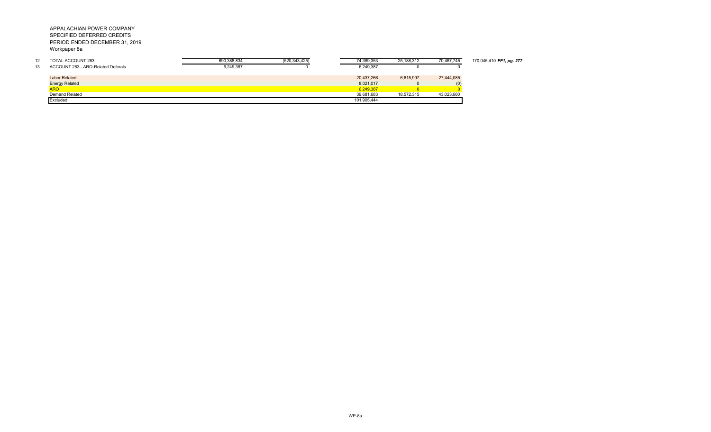| 12 | TOTAL ACCOUNT 283                  | 690.388.834 | (520, 343, 425) | 74.389.353  | 25,188,312 | 70,467,745 | 170,045,410 FF1, pg. 277 |
|----|------------------------------------|-------------|-----------------|-------------|------------|------------|--------------------------|
| 13 | ACCOUNT 283 - ARO-Related Deferals | 6,249,387   |                 | 6,249,387   |            |            |                          |
|    |                                    |             |                 |             |            |            |                          |
|    | <b>Labor Related</b>               |             |                 | 20,437,266  | 6.615.997  | 27,444,085 |                          |
|    | <b>Energy Related</b>              |             |                 | 8,021,017   |            | (U)        |                          |
|    | <b>ARO</b>                         |             |                 | 6.249.387   |            |            |                          |
|    | Demand Related                     |             |                 | 39.681.683  | 18.572.315 | 43,023,660 |                          |
|    | Excluded                           |             |                 | 101,905,444 |            |            |                          |
|    |                                    |             |                 |             |            |            |                          |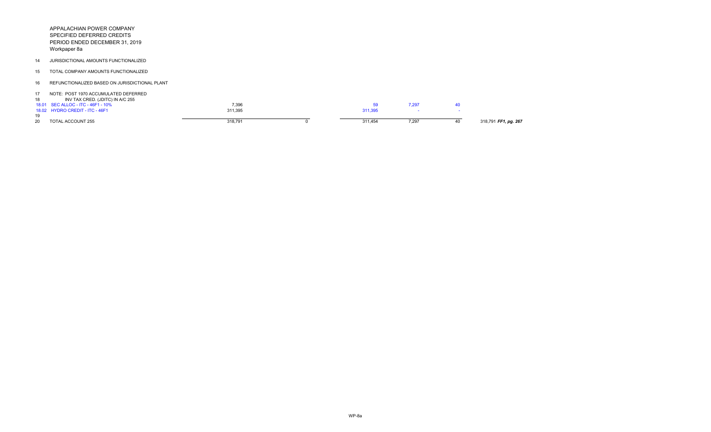14 JURISDICTIONAL AMOUNTS FUNCTIONALIZED

15 TOTAL COMPANY AMOUNTS FUNCTIONALIZED

16 REFUNCTIONALIZED BASED ON JURISDICTIONAL PLANT

17 NOTE: POST 1970 ACCUMULATED DEFERRED

| INV TAX CRED. (JDITC) IN A/C 255   |         |         |       |                      |
|------------------------------------|---------|---------|-------|----------------------|
| 18.01 SEC ALLOC - ITC - 46F1 - 10% | 7,396   | 59      | .297  |                      |
| 18.02 HYDRO CREDIT - ITC - 46F1    | 311.395 | 311,395 |       |                      |
|                                    |         |         |       |                      |
| <b>TOTAL ACCOUNT 255</b>           | 318,791 | 311,454 | 7,297 | 318,791 FF1, pg. 267 |
|                                    |         |         |       |                      |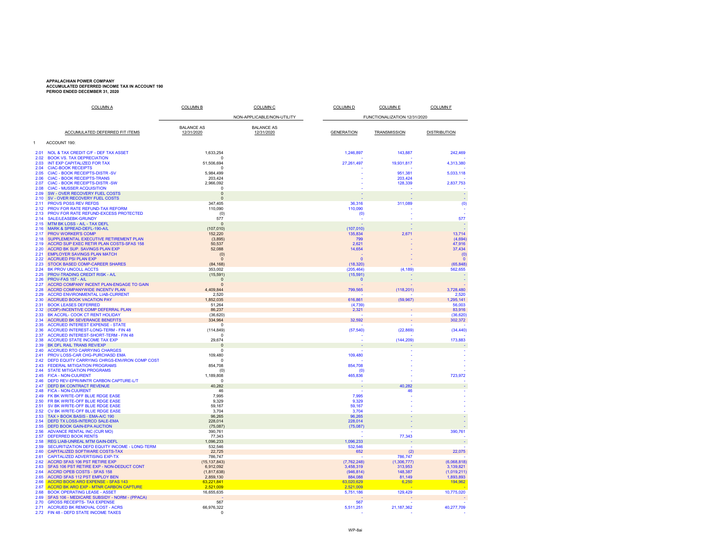# **APPALACHIAN POWER COMPANY ACCUMULATED DEFERRED INCOME TAX IN ACCOUNT 190 PERIOD ENDED DECEMBER 31, 2020**

|              | <b>COLUMN A</b>                                                                     | <b>COLUMN B</b>            | <b>COLUMN C</b>            | <b>COLUMN D</b>              | <b>COLUMN E</b>   | <b>COLUMN F</b>          |
|--------------|-------------------------------------------------------------------------------------|----------------------------|----------------------------|------------------------------|-------------------|--------------------------|
|              |                                                                                     |                            | NON-APPLICABLE/NON-UTILITY | FUNCTIONALIZATION 12/31/2020 |                   |                          |
|              |                                                                                     | <b>BALANCE AS</b>          | <b>BALANCE AS</b>          |                              |                   |                          |
|              | ACCUMULATED DEFERRED FIT ITEMS                                                      | 12/31/2020                 | 12/31/2020                 | <b>GENERATION</b>            | TRANSMISSION      | <b>DISTRIBUTION</b>      |
| $\mathbf{1}$ | ACCOUNT 190:                                                                        |                            |                            |                              |                   |                          |
|              |                                                                                     |                            |                            |                              |                   |                          |
| 2.01<br>2.02 | <b>NOL &amp; TAX CREDIT C/F - DEF TAX ASSET</b><br><b>BOOK VS. TAX DEPRECIATION</b> | 1,633,254<br>$\Omega$      |                            | 1,246,897                    | 143,887           | 242,469                  |
| 2.03         | INT EXP CAPITALIZED FOR TAX                                                         | 51,506,694                 |                            | 27,261,497                   | 19,931,817        | 4,313,380                |
| 2.04<br>2.05 | <b>CIAC-BOOK RECEIPTS</b><br><b>CIAC - BOOK RECEIPTS-DISTR -SV</b>                  | $\Omega$<br>5,984,499      |                            |                              | 951,381           | 5,033,118                |
| 2.06         | <b>CIAC - BOOK RECEIPTS-TRANS</b>                                                   | 203,424                    |                            |                              | 203,424           |                          |
| 2.07         | <b>CIAC - BOOK RECEIPTS-DISTR -SW</b>                                               | 2,966,092<br>$\Omega$      |                            |                              | 128,339           | 2,837,753                |
| 2.08<br>2.09 | <b>CIAC - MUSSER ACQUISITION</b><br>SW - OVER RECOVERY FUEL COSTS                   | $\pmb{0}$                  |                            |                              |                   |                          |
| 2.10         | SV - OVER RECOVERY FUEL COSTS                                                       | $\Omega$                   |                            |                              |                   | $\sim$                   |
| 2.11<br>2.12 | <b>PROVS POSS REV REFDS</b><br>PROV FOR RATE REFUND-TAX REFORM                      | 347,405<br>110,090         |                            | 36,316<br>110,090            | 311,089           | (0)                      |
| 2.13         | PROV FOR RATE REFUND-EXCESS PROTECTED                                               | (0)                        |                            | (0)                          |                   |                          |
| 2.14         | <b>SALE/LEASEBK-GRUNDY</b>                                                          | 577                        |                            |                              |                   | 577                      |
| 2.15<br>2.16 | MTM BK LOSS - A/L - TAX DEFL<br>MARK & SPREAD-DEFL-190-A/L                          | $\Omega$<br>(107, 010)     |                            | (107, 010)                   |                   |                          |
| 2.17         | <b>PROV WORKER'S COMP</b>                                                           | 152.220                    |                            | 135,834                      | 2,671             | 13,714                   |
| 2.18<br>2.19 | SUPPLEMENTAL EXECUTIVE RETIREMENT PLAN                                              | (3,895)                    |                            | <b>799</b>                   |                   | (4,694)                  |
| 2.20         | ACCRD SUP EXEC RETIR PLAN COSTS-SFAS 158<br><b>ACCRD BK SUP. SAVINGS PLAN EXP</b>   | 50,537<br>52.088           |                            | 2,621<br>14,654              |                   | 47,916<br>37,434         |
| 2.21         | <b>EMPLOYER SAVINGS PLAN MATCH</b>                                                  | (0)                        |                            |                              |                   | (0)                      |
| 2.22<br>2.23 | <b>ACCRUED PSI PLAN EXP</b><br>STOCK BASED COMP-CAREER SHARES                       | $\mathbf{0}$               |                            | $\overline{0}$               |                   | $\mathbf{0}$             |
| 2.24         | <b>BK PROV UNCOLL ACCTS</b>                                                         | (84, 168)<br>353,002       |                            | (18, 320)<br>(205, 464)      | (4, 189)          | (65, 848)<br>562,655     |
| 2.25         | PROV-TRADING CREDIT RISK - A/L                                                      | (15, 591)                  |                            | (15, 591)                    |                   |                          |
| 2.26<br>2.27 | PROV-FAS 157 - A/L<br>ACCRD COMPANY INCENT PLAN-ENGAGE TO GAIN                      | $\Omega$<br>$\Omega$       |                            | $\mathbf{0}$                 |                   |                          |
| 2.28         | ACCRD COMPANYWIDE INCENTV PLAN                                                      | 4,409,844                  |                            | 799,565                      | (118, 201)        | 3,728,480                |
| 2.29         | <b>ACCRD ENVIRONMENTAL LIAB-CURRENT</b>                                             | 2,520                      |                            |                              |                   | 2,520                    |
| 2.30<br>2.31 | <b>ACCRUED BOOK VACATION PAY</b><br><b>BOOK LEASES DEFERRED</b>                     | 1,852,035<br>51,264        |                            | 616,861<br>(4,739)           | (59, 967)         | 1,295,141<br>56,003      |
| 2.32         | (ICDP)-INCENTIVE COMP DEFERRAL PLAN                                                 | 86,237                     |                            | 2,321                        |                   | 83,916                   |
| 2.33         | BK ACCRL- COOK CT RENT HOLIDAY                                                      | (36, 620)                  |                            |                              |                   | (36, 620)                |
| 2.34<br>2.35 | <b>ACCRUED BK SEVERANCE BENEFITS</b><br><b>ACCRUED INTEREST EXPENSE - STATE</b>     | 334,964<br>$\Omega$        |                            | 32,592                       |                   | 302,372                  |
| 2.36         | <b>ACCRUED INTEREST-LONG-TERM - FIN 48</b>                                          | (114, 849)                 |                            | (57, 540)                    | (22, 869)         | (34, 440)                |
| 2.37         | <b>ACCRUED INTEREST-SHORT-TERM - FIN 48</b>                                         | $\Omega$                   |                            |                              |                   |                          |
| 2.38<br>2.39 | <b>ACCRUED STATE INCOME TAX EXP</b><br>BK DFL RAIL TRANS REV/EXP                    | 29,674<br>$\Omega$         |                            |                              | (144, 209)        | 173,883                  |
| 2.40         | <b>ACCRUED RTO CARRYING CHARGES</b>                                                 | $\Omega$                   |                            |                              |                   |                          |
| 2.41<br>2.42 | PROV LOSS-CAR CHG-PURCHASD EMA<br>DEFD EQUITY CARRYING CHRGS-ENVIRON COMP COST      | 109,480<br>$\Omega$        |                            | 109,480                      |                   |                          |
| 2.43         | <b>FEDERAL MITIGATION PROGRAMS</b>                                                  | 854,708                    |                            | 854,708                      |                   |                          |
| 2.44         | <b>STATE MITIGATION PROGRAMS</b>                                                    | (0)                        |                            | (0)                          |                   |                          |
| 2.45<br>2.46 | <b>FICA - NON-CUURENT</b><br>DEFD REV-EPRI/MNTR CARBON CAPTURE-L/T                  | 1,189,808<br>$\Omega$      |                            | 465,836<br>. .               |                   | 723,972                  |
| 2.47         | <b>DEFD BK CONTRACT REVENUE</b>                                                     | 40,282                     |                            |                              | 40,282            |                          |
| 2.48         | <b>FICA - NON-CUURENT</b>                                                           | 46                         |                            |                              | 46                |                          |
| 2.49<br>2.50 | FK BK WRITE-OFF BLUE RDGE EASE<br>FR BK WRITE-OFF BLUE RDGE EASE                    | 7,995<br>9,329             |                            | 7,995<br>9,329               |                   |                          |
| 2.51         | SV BK WRITE-OFF BLUE RDGE EASE                                                      | 59,167                     |                            | 59,167                       |                   |                          |
| 2.52         | CV BK WRITE-OFF BLUE RDGE EASE                                                      | 3,704                      |                            | 3,704                        |                   |                          |
| 2.53<br>2.54 | TAX > BOOK BASIS - EMA-A/C 190<br>DEFD TX LOSS-INTERCO SALE-EMA                     | 96,265<br>228,014          |                            | 96,265<br>228,014            |                   |                          |
| 2.55         | <b>DEFD BOOK GAIN-EPA AUCTION</b>                                                   | (75,087)                   |                            | (75,087)                     |                   |                          |
| 2.56<br>2.57 | ADVANCE RENTAL INC (CUR MO)<br><b>DEFERRED BOOK RENTS</b>                           | 390,761<br>77,343          |                            |                              | 77,343            | 390,761                  |
| 2.58         | REG LIAB-UNREAL MTM GAIN-DEFL                                                       | 1,096,233                  |                            | 1,096,233                    |                   |                          |
| 2.59         | SECURITIZATION DEFD EQUITY INCOME - LONG-TERM                                       | 532,546                    |                            | 532,546                      |                   |                          |
| 2.60<br>2.61 | <b>CAPITALIZED SOFTWARE COSTS-TAX</b><br><b>CAPITALIZED ADVERTISING EXP-TX</b>      | 22,725<br>786,747          |                            | 652                          | (2)<br>786,747    | 22,075                   |
| 2.62         | ACCRD SFAS 106 PST RETIRE EXP                                                       | (15, 137, 843)             |                            | (7, 762, 248)                | (1,306,777)       | (6,068,818)              |
| 2.63         | SFAS 106 PST RETIRE EXP - NON-DEDUCT CONT                                           | 6,912,092                  |                            | 3,458,319                    | 313.953           | 3,139,821                |
| 2.64<br>2.65 | <b>ACCRD OPEB COSTS - SFAS 158</b><br>ACCRD SFAS 112 PST EMPLOY BEN                 | (1, 817, 638)<br>2,859,130 |                            | (946, 814)<br>884,088        | 148,387<br>81,149 | (1,019,211)<br>1,893,893 |
| 2.66         | <b>ACCRD BOOK ARO EXPENSE - SFAS 143</b>                                            | 63,221,841                 |                            | 63.020.629                   | 6.250             | 194,962                  |
| 2.67         | ACCRD BK ARO EXP - MTNR CARBON CAPTURE                                              | 2,521,009                  |                            | 2,521,009                    |                   |                          |
| 2.68<br>2.69 | <b>BOOK OPERATING LEASE - ASSET</b><br>SFAS 106 - MEDICARE SUBSIDY - NORM - (PPACA) | 16,655,635                 |                            | 5,751,186                    | 129,429           | 10,775,020               |
| 2.70         | <b>GROSS RECEIPTS- TAX EXPENSE</b>                                                  | 567                        |                            | 567                          |                   |                          |
| 2.71<br>2.72 | <b>ACCRUED BK REMOVAL COST - ACRS</b><br>FIN 48 - DEFD STATE INCOME TAXES           | 66,976,322<br>$\Omega$     |                            | 5,511,251                    | 21, 187, 362      | 40,277,709               |
|              |                                                                                     |                            |                            |                              |                   |                          |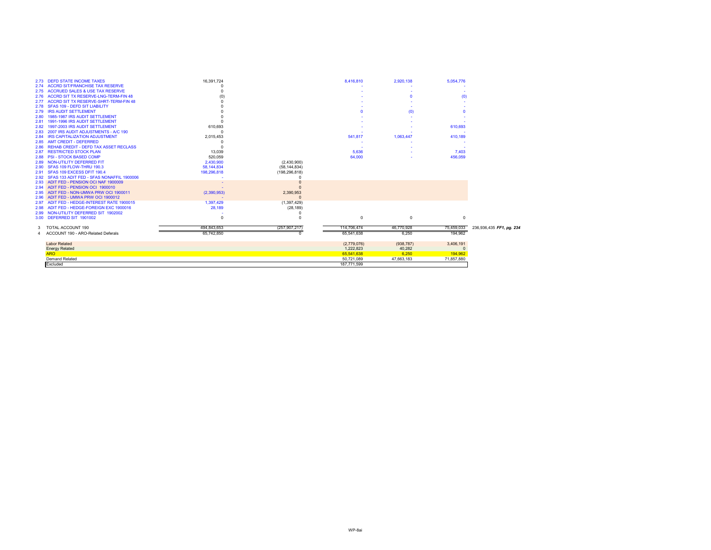| 2.74<br><b>ACCRUED SALES &amp; USE TAX RESERVE</b><br>2.75<br><b>ACCRD SIT TX RESERVE-LNG-TERM-FIN 48</b><br>(0)<br>2.76<br><b>ACCRD SIT TX RESERVE-SHRT-TERM-FIN 48</b><br>2.77<br><b>SFAS 109 - DEFD SIT LIABILITY</b><br>2.78<br><b>IRS AUDIT SETTLEMENT</b><br>(0)<br>2.79<br>1985-1987 IRS AUDIT SETTLEMENT<br>2.80<br>1991-1996 IRS AUDIT SETTLEMENT<br>2.81<br>1997-2003 IRS AUDIT SETTLEMENT<br>610,693<br>610,693<br>2.82<br>2007 IRS AUDIT ADJUSTMENTS - A/C 190<br>2.83<br><b>IRS CAPITALIZATION ADJUSTMENT</b><br>2,015,453<br>541,817<br>1,063,447<br>410,189<br>2.84<br><b>AMT CREDIT - DEFERRED</b><br>2.85<br><b>REHAB CREDIT - DEFD TAX ASSET RECLASS</b><br>2.86<br><b>RESTRICTED STOCK PLAN</b><br>13,039<br>5.636<br>7,403<br>2.87<br><b>PSI - STOCK BASED COMP</b><br>64,000<br>520,059<br>456,059<br>2.88<br>NON-UTILITY DEFERRED FIT<br>2,430,900<br>(2,430,900)<br>2.89<br>SFAS 109 FLOW-THRU 190.3<br>58, 144, 834<br>(58, 144, 834)<br>2.90<br>SFAS 109 EXCESS DFIT 190.4<br>198,296,818<br>(198, 296, 818)<br>2.91<br>SFAS 133 ADIT FED - SFAS NONAFFIL 1900006<br>2.92<br>ADIT FED - PENSION OCI NAF 1900009<br>2.93<br>ADIT FED - PENSION OCI 1900010<br>2.94<br>ADIT FED - NON-UMWA PRW OCI 1900011<br>(2,390,953)<br>2,390,953<br>2.95<br>ADIT FED - UMWA PRW OCI 1900012<br>2.96<br>ADIT FED - HEDGE-INTEREST RATE 1900015<br>1.397.429<br>(1,397,429)<br>2.97<br>ADIT FED - HEDGE-FOREIGN EXC 1900016<br>28,189<br>(28, 189)<br>2.98<br>2.99 NON-UTILITY DEFERRED SIT 1902002<br>DEFERRED SIT 1901002<br>$^{\circ}$<br>$\Omega$<br>$^{\circ}$<br>3.00<br>TOTAL ACCOUNT 190<br>494.843.653<br>(257, 907, 217)<br>114,706,474<br>46,770,928<br>75,459,033<br>3.<br>194,962<br>6,250<br>ACCOUNT 190 - ARO-Related Deferals<br>65,541,638<br>65,742,850<br>3,406,191<br><b>Labor Related</b><br>(2,779,076)<br>(938, 787)<br>1,222,823<br>40,282<br><b>Energy Related</b><br>$\Omega$<br>6,250<br>194,962<br><b>ARO</b><br>65,541,638<br><b>Demand Related</b><br>71,857,880<br>50,721,089<br>47,663,183<br>Excluded<br>187,771,599 | 2.73 DEFD STATE INCOME TAXES           | 16,391,724 | 8.416.810 | 2,920,138 | 5,054,776 |                          |
|------------------------------------------------------------------------------------------------------------------------------------------------------------------------------------------------------------------------------------------------------------------------------------------------------------------------------------------------------------------------------------------------------------------------------------------------------------------------------------------------------------------------------------------------------------------------------------------------------------------------------------------------------------------------------------------------------------------------------------------------------------------------------------------------------------------------------------------------------------------------------------------------------------------------------------------------------------------------------------------------------------------------------------------------------------------------------------------------------------------------------------------------------------------------------------------------------------------------------------------------------------------------------------------------------------------------------------------------------------------------------------------------------------------------------------------------------------------------------------------------------------------------------------------------------------------------------------------------------------------------------------------------------------------------------------------------------------------------------------------------------------------------------------------------------------------------------------------------------------------------------------------------------------------------------------------------------------------------------------------------------------------------------------------------------------------|----------------------------------------|------------|-----------|-----------|-----------|--------------------------|
|                                                                                                                                                                                                                                                                                                                                                                                                                                                                                                                                                                                                                                                                                                                                                                                                                                                                                                                                                                                                                                                                                                                                                                                                                                                                                                                                                                                                                                                                                                                                                                                                                                                                                                                                                                                                                                                                                                                                                                                                                                                                  | <b>ACCRD SIT/FRANCHISE TAX RESERVE</b> |            |           |           |           |                          |
|                                                                                                                                                                                                                                                                                                                                                                                                                                                                                                                                                                                                                                                                                                                                                                                                                                                                                                                                                                                                                                                                                                                                                                                                                                                                                                                                                                                                                                                                                                                                                                                                                                                                                                                                                                                                                                                                                                                                                                                                                                                                  |                                        |            |           |           |           |                          |
|                                                                                                                                                                                                                                                                                                                                                                                                                                                                                                                                                                                                                                                                                                                                                                                                                                                                                                                                                                                                                                                                                                                                                                                                                                                                                                                                                                                                                                                                                                                                                                                                                                                                                                                                                                                                                                                                                                                                                                                                                                                                  |                                        |            |           |           |           |                          |
|                                                                                                                                                                                                                                                                                                                                                                                                                                                                                                                                                                                                                                                                                                                                                                                                                                                                                                                                                                                                                                                                                                                                                                                                                                                                                                                                                                                                                                                                                                                                                                                                                                                                                                                                                                                                                                                                                                                                                                                                                                                                  |                                        |            |           |           |           |                          |
|                                                                                                                                                                                                                                                                                                                                                                                                                                                                                                                                                                                                                                                                                                                                                                                                                                                                                                                                                                                                                                                                                                                                                                                                                                                                                                                                                                                                                                                                                                                                                                                                                                                                                                                                                                                                                                                                                                                                                                                                                                                                  |                                        |            |           |           |           |                          |
|                                                                                                                                                                                                                                                                                                                                                                                                                                                                                                                                                                                                                                                                                                                                                                                                                                                                                                                                                                                                                                                                                                                                                                                                                                                                                                                                                                                                                                                                                                                                                                                                                                                                                                                                                                                                                                                                                                                                                                                                                                                                  |                                        |            |           |           |           |                          |
|                                                                                                                                                                                                                                                                                                                                                                                                                                                                                                                                                                                                                                                                                                                                                                                                                                                                                                                                                                                                                                                                                                                                                                                                                                                                                                                                                                                                                                                                                                                                                                                                                                                                                                                                                                                                                                                                                                                                                                                                                                                                  |                                        |            |           |           |           |                          |
|                                                                                                                                                                                                                                                                                                                                                                                                                                                                                                                                                                                                                                                                                                                                                                                                                                                                                                                                                                                                                                                                                                                                                                                                                                                                                                                                                                                                                                                                                                                                                                                                                                                                                                                                                                                                                                                                                                                                                                                                                                                                  |                                        |            |           |           |           |                          |
|                                                                                                                                                                                                                                                                                                                                                                                                                                                                                                                                                                                                                                                                                                                                                                                                                                                                                                                                                                                                                                                                                                                                                                                                                                                                                                                                                                                                                                                                                                                                                                                                                                                                                                                                                                                                                                                                                                                                                                                                                                                                  |                                        |            |           |           |           |                          |
|                                                                                                                                                                                                                                                                                                                                                                                                                                                                                                                                                                                                                                                                                                                                                                                                                                                                                                                                                                                                                                                                                                                                                                                                                                                                                                                                                                                                                                                                                                                                                                                                                                                                                                                                                                                                                                                                                                                                                                                                                                                                  |                                        |            |           |           |           |                          |
|                                                                                                                                                                                                                                                                                                                                                                                                                                                                                                                                                                                                                                                                                                                                                                                                                                                                                                                                                                                                                                                                                                                                                                                                                                                                                                                                                                                                                                                                                                                                                                                                                                                                                                                                                                                                                                                                                                                                                                                                                                                                  |                                        |            |           |           |           |                          |
|                                                                                                                                                                                                                                                                                                                                                                                                                                                                                                                                                                                                                                                                                                                                                                                                                                                                                                                                                                                                                                                                                                                                                                                                                                                                                                                                                                                                                                                                                                                                                                                                                                                                                                                                                                                                                                                                                                                                                                                                                                                                  |                                        |            |           |           |           |                          |
|                                                                                                                                                                                                                                                                                                                                                                                                                                                                                                                                                                                                                                                                                                                                                                                                                                                                                                                                                                                                                                                                                                                                                                                                                                                                                                                                                                                                                                                                                                                                                                                                                                                                                                                                                                                                                                                                                                                                                                                                                                                                  |                                        |            |           |           |           |                          |
|                                                                                                                                                                                                                                                                                                                                                                                                                                                                                                                                                                                                                                                                                                                                                                                                                                                                                                                                                                                                                                                                                                                                                                                                                                                                                                                                                                                                                                                                                                                                                                                                                                                                                                                                                                                                                                                                                                                                                                                                                                                                  |                                        |            |           |           |           |                          |
|                                                                                                                                                                                                                                                                                                                                                                                                                                                                                                                                                                                                                                                                                                                                                                                                                                                                                                                                                                                                                                                                                                                                                                                                                                                                                                                                                                                                                                                                                                                                                                                                                                                                                                                                                                                                                                                                                                                                                                                                                                                                  |                                        |            |           |           |           |                          |
|                                                                                                                                                                                                                                                                                                                                                                                                                                                                                                                                                                                                                                                                                                                                                                                                                                                                                                                                                                                                                                                                                                                                                                                                                                                                                                                                                                                                                                                                                                                                                                                                                                                                                                                                                                                                                                                                                                                                                                                                                                                                  |                                        |            |           |           |           |                          |
|                                                                                                                                                                                                                                                                                                                                                                                                                                                                                                                                                                                                                                                                                                                                                                                                                                                                                                                                                                                                                                                                                                                                                                                                                                                                                                                                                                                                                                                                                                                                                                                                                                                                                                                                                                                                                                                                                                                                                                                                                                                                  |                                        |            |           |           |           |                          |
|                                                                                                                                                                                                                                                                                                                                                                                                                                                                                                                                                                                                                                                                                                                                                                                                                                                                                                                                                                                                                                                                                                                                                                                                                                                                                                                                                                                                                                                                                                                                                                                                                                                                                                                                                                                                                                                                                                                                                                                                                                                                  |                                        |            |           |           |           |                          |
|                                                                                                                                                                                                                                                                                                                                                                                                                                                                                                                                                                                                                                                                                                                                                                                                                                                                                                                                                                                                                                                                                                                                                                                                                                                                                                                                                                                                                                                                                                                                                                                                                                                                                                                                                                                                                                                                                                                                                                                                                                                                  |                                        |            |           |           |           |                          |
|                                                                                                                                                                                                                                                                                                                                                                                                                                                                                                                                                                                                                                                                                                                                                                                                                                                                                                                                                                                                                                                                                                                                                                                                                                                                                                                                                                                                                                                                                                                                                                                                                                                                                                                                                                                                                                                                                                                                                                                                                                                                  |                                        |            |           |           |           |                          |
|                                                                                                                                                                                                                                                                                                                                                                                                                                                                                                                                                                                                                                                                                                                                                                                                                                                                                                                                                                                                                                                                                                                                                                                                                                                                                                                                                                                                                                                                                                                                                                                                                                                                                                                                                                                                                                                                                                                                                                                                                                                                  |                                        |            |           |           |           |                          |
|                                                                                                                                                                                                                                                                                                                                                                                                                                                                                                                                                                                                                                                                                                                                                                                                                                                                                                                                                                                                                                                                                                                                                                                                                                                                                                                                                                                                                                                                                                                                                                                                                                                                                                                                                                                                                                                                                                                                                                                                                                                                  |                                        |            |           |           |           |                          |
|                                                                                                                                                                                                                                                                                                                                                                                                                                                                                                                                                                                                                                                                                                                                                                                                                                                                                                                                                                                                                                                                                                                                                                                                                                                                                                                                                                                                                                                                                                                                                                                                                                                                                                                                                                                                                                                                                                                                                                                                                                                                  |                                        |            |           |           |           |                          |
|                                                                                                                                                                                                                                                                                                                                                                                                                                                                                                                                                                                                                                                                                                                                                                                                                                                                                                                                                                                                                                                                                                                                                                                                                                                                                                                                                                                                                                                                                                                                                                                                                                                                                                                                                                                                                                                                                                                                                                                                                                                                  |                                        |            |           |           |           |                          |
|                                                                                                                                                                                                                                                                                                                                                                                                                                                                                                                                                                                                                                                                                                                                                                                                                                                                                                                                                                                                                                                                                                                                                                                                                                                                                                                                                                                                                                                                                                                                                                                                                                                                                                                                                                                                                                                                                                                                                                                                                                                                  |                                        |            |           |           |           |                          |
|                                                                                                                                                                                                                                                                                                                                                                                                                                                                                                                                                                                                                                                                                                                                                                                                                                                                                                                                                                                                                                                                                                                                                                                                                                                                                                                                                                                                                                                                                                                                                                                                                                                                                                                                                                                                                                                                                                                                                                                                                                                                  |                                        |            |           |           |           |                          |
|                                                                                                                                                                                                                                                                                                                                                                                                                                                                                                                                                                                                                                                                                                                                                                                                                                                                                                                                                                                                                                                                                                                                                                                                                                                                                                                                                                                                                                                                                                                                                                                                                                                                                                                                                                                                                                                                                                                                                                                                                                                                  |                                        |            |           |           |           |                          |
|                                                                                                                                                                                                                                                                                                                                                                                                                                                                                                                                                                                                                                                                                                                                                                                                                                                                                                                                                                                                                                                                                                                                                                                                                                                                                                                                                                                                                                                                                                                                                                                                                                                                                                                                                                                                                                                                                                                                                                                                                                                                  |                                        |            |           |           |           | 236,936,435 FF1, pg. 234 |
|                                                                                                                                                                                                                                                                                                                                                                                                                                                                                                                                                                                                                                                                                                                                                                                                                                                                                                                                                                                                                                                                                                                                                                                                                                                                                                                                                                                                                                                                                                                                                                                                                                                                                                                                                                                                                                                                                                                                                                                                                                                                  |                                        |            |           |           |           |                          |
|                                                                                                                                                                                                                                                                                                                                                                                                                                                                                                                                                                                                                                                                                                                                                                                                                                                                                                                                                                                                                                                                                                                                                                                                                                                                                                                                                                                                                                                                                                                                                                                                                                                                                                                                                                                                                                                                                                                                                                                                                                                                  |                                        |            |           |           |           |                          |
|                                                                                                                                                                                                                                                                                                                                                                                                                                                                                                                                                                                                                                                                                                                                                                                                                                                                                                                                                                                                                                                                                                                                                                                                                                                                                                                                                                                                                                                                                                                                                                                                                                                                                                                                                                                                                                                                                                                                                                                                                                                                  |                                        |            |           |           |           |                          |
|                                                                                                                                                                                                                                                                                                                                                                                                                                                                                                                                                                                                                                                                                                                                                                                                                                                                                                                                                                                                                                                                                                                                                                                                                                                                                                                                                                                                                                                                                                                                                                                                                                                                                                                                                                                                                                                                                                                                                                                                                                                                  |                                        |            |           |           |           |                          |
|                                                                                                                                                                                                                                                                                                                                                                                                                                                                                                                                                                                                                                                                                                                                                                                                                                                                                                                                                                                                                                                                                                                                                                                                                                                                                                                                                                                                                                                                                                                                                                                                                                                                                                                                                                                                                                                                                                                                                                                                                                                                  |                                        |            |           |           |           |                          |
|                                                                                                                                                                                                                                                                                                                                                                                                                                                                                                                                                                                                                                                                                                                                                                                                                                                                                                                                                                                                                                                                                                                                                                                                                                                                                                                                                                                                                                                                                                                                                                                                                                                                                                                                                                                                                                                                                                                                                                                                                                                                  |                                        |            |           |           |           |                          |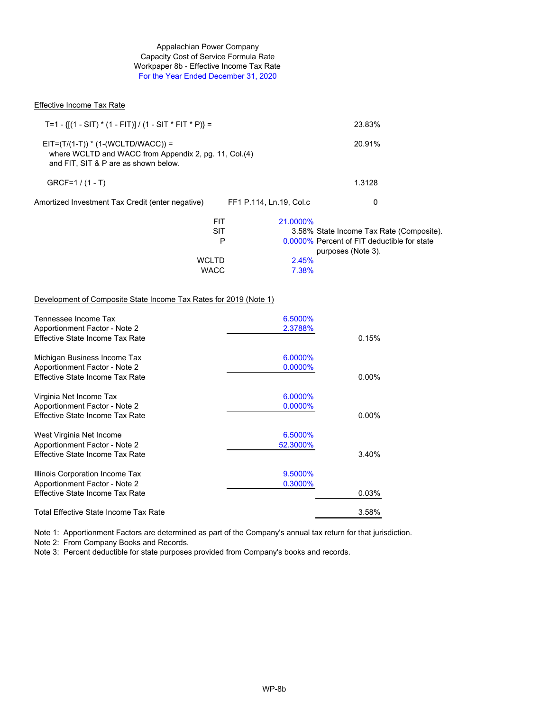#### Appalachian Power Company Workpaper 8b - Effective Income Tax Rate For the Year Ended December 31, 2020 Capacity Cost of Service Formula Rate

#### Effective Income Tax Rate

| T=1 - { $[(1 - SIT)^* (1 - FIT)] / (1 - SIT * FIT * P)] =$                                                                            |                         | 23.83%                                                            |
|---------------------------------------------------------------------------------------------------------------------------------------|-------------------------|-------------------------------------------------------------------|
| $EIT=(T/(1-T))$ * (1-(WCLTD/WACC)) =<br>where WCLTD and WACC from Appendix 2, pg. 11, Col.(4)<br>and FIT, SIT & P are as shown below. |                         | 20.91%                                                            |
| $GRCF=1/(1-T)$                                                                                                                        |                         | 1.3128                                                            |
| Amortized Investment Tax Credit (enter negative)                                                                                      | FF1 P.114, Ln.19, Col.c | 0                                                                 |
| FIT                                                                                                                                   | 21.0000%                |                                                                   |
| <b>SIT</b>                                                                                                                            |                         | 3.58% State Income Tax Rate (Composite).                          |
| P                                                                                                                                     |                         | 0.0000% Percent of FIT deductible for state<br>purposes (Note 3). |
| <b>WCLTD</b>                                                                                                                          | 2.45%                   |                                                                   |
| <b>WACC</b>                                                                                                                           | 7.38%                   |                                                                   |

#### Development of Composite State Income Tax Rates for 2019 (Note 1)

| Tennessee Income Tax<br>Apportionment Factor - Note 2 | 6.5000%<br>2.3788% |          |
|-------------------------------------------------------|--------------------|----------|
| Effective State Income Tax Rate                       |                    | 0.15%    |
| Michigan Business Income Tax                          | 6.0000%            |          |
| Apportionment Factor - Note 2                         | $0.0000\%$         |          |
| Effective State Income Tax Rate                       |                    | $0.00\%$ |
| Virginia Net Income Tax                               | 6.0000%            |          |
| Apportionment Factor - Note 2                         | $0.0000\%$         |          |
| Effective State Income Tax Rate                       |                    | $0.00\%$ |
| West Virginia Net Income                              | 6.5000%            |          |
| Apportionment Factor - Note 2                         | 52.3000%           |          |
| Effective State Income Tax Rate                       |                    | 3.40%    |
| Illinois Corporation Income Tax                       | 9.5000%            |          |
| Apportionment Factor - Note 2                         | 0.3000%            |          |
| Effective State Income Tax Rate                       |                    | 0.03%    |
| Total Effective State Income Tax Rate                 |                    | 3.58%    |

Note 1: Apportionment Factors are determined as part of the Company's annual tax return for that jurisdiction.

Note 2: From Company Books and Records.

Note 3: Percent deductible for state purposes provided from Company's books and records.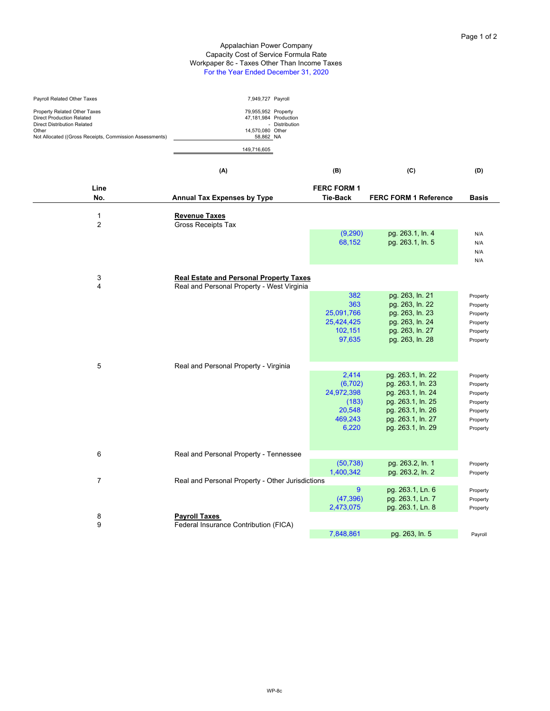#### Appalachian Power Company Capacity Cost of Service Formula Rate Workpaper 8c - Taxes Other Than Income Taxes For the Year Ended December 31, 2020

| Payroll Related Other Taxes                                                                                                                                  | 7,949,727 Payroll                                                                            |                |
|--------------------------------------------------------------------------------------------------------------------------------------------------------------|----------------------------------------------------------------------------------------------|----------------|
| Property Related Other Taxes<br>Direct Production Related<br>Direct Distribution Related<br>Other<br>Not Allocated ((Gross Receipts, Commission Assessments) | 79,955,952 Property<br>47.181.984 Production<br>14,570,080 Other<br>58.862 NA<br>149.716.605 | - Distribution |

|                                | (A)                                               | (B)                    | (C)                                    | (D)                  |
|--------------------------------|---------------------------------------------------|------------------------|----------------------------------------|----------------------|
| Line                           |                                                   | <b>FERC FORM 1</b>     |                                        |                      |
| No.                            | <b>Annual Tax Expenses by Type</b>                | <b>Tie-Back</b>        | <b>FERC FORM 1 Reference</b>           | <b>Basis</b>         |
|                                |                                                   |                        |                                        |                      |
| $\mathbf{1}$<br>$\overline{2}$ | <b>Revenue Taxes</b><br><b>Gross Receipts Tax</b> |                        |                                        |                      |
|                                |                                                   | (9,290)                | pg. 263.1, ln. 4                       | N/A                  |
|                                |                                                   | 68,152                 | pg. 263.1, ln. 5                       | N/A                  |
|                                |                                                   |                        |                                        | N/A                  |
|                                |                                                   |                        |                                        | N/A                  |
|                                |                                                   |                        |                                        |                      |
| 3                              | <b>Real Estate and Personal Property Taxes</b>    |                        |                                        |                      |
| 4                              | Real and Personal Property - West Virginia        |                        |                                        |                      |
|                                |                                                   | 382<br>363             | pg. 263, ln. 21<br>pg. 263, ln. 22     | Property             |
|                                |                                                   | 25,091,766             | pg. 263, ln. 23                        | Property<br>Property |
|                                |                                                   | 25,424,425             | pg. 263, ln. 24                        | Property             |
|                                |                                                   | 102,151                | pg. 263, ln. 27                        | Property             |
|                                |                                                   | 97,635                 | pg. 263, ln. 28                        | Property             |
|                                |                                                   |                        |                                        |                      |
|                                |                                                   |                        |                                        |                      |
| 5                              | Real and Personal Property - Virginia             |                        |                                        |                      |
|                                |                                                   | 2,414                  | pg. 263.1, ln. 22                      | Property             |
|                                |                                                   | (6, 702)               | pg. 263.1, ln. 23                      | Property             |
|                                |                                                   | 24,972,398             | pg. 263.1, ln. 24                      | Property             |
|                                |                                                   | (183)<br>20,548        | pg. 263.1, ln. 25<br>pg. 263.1, ln. 26 | Property             |
|                                |                                                   | 469,243                | pg. 263.1, ln. 27                      | Property<br>Property |
|                                |                                                   | 6,220                  | pg. 263.1, ln. 29                      | Property             |
|                                |                                                   |                        |                                        |                      |
|                                |                                                   |                        |                                        |                      |
| 6                              | Real and Personal Property - Tennessee            |                        |                                        |                      |
|                                |                                                   | (50, 738)              | pg. 263.2, ln. 1                       | Property             |
|                                |                                                   | 1,400,342              | pg. 263.2, ln. 2                       | Property             |
| $\overline{7}$                 | Real and Personal Property - Other Jurisdictions  |                        |                                        |                      |
|                                |                                                   | 9                      | pg. 263.1, Ln. 6                       | Property             |
|                                |                                                   | (47, 396)<br>2,473,075 | pg. 263.1, Ln. 7<br>pg. 263.1, Ln. 8   | Property             |
| 8                              | <b>Payroll Taxes</b>                              |                        |                                        | Property             |
| 9                              | Federal Insurance Contribution (FICA)             |                        |                                        |                      |
|                                |                                                   | 7,848,861              | pg. 263, ln. 5                         | Payroll              |
|                                |                                                   |                        |                                        |                      |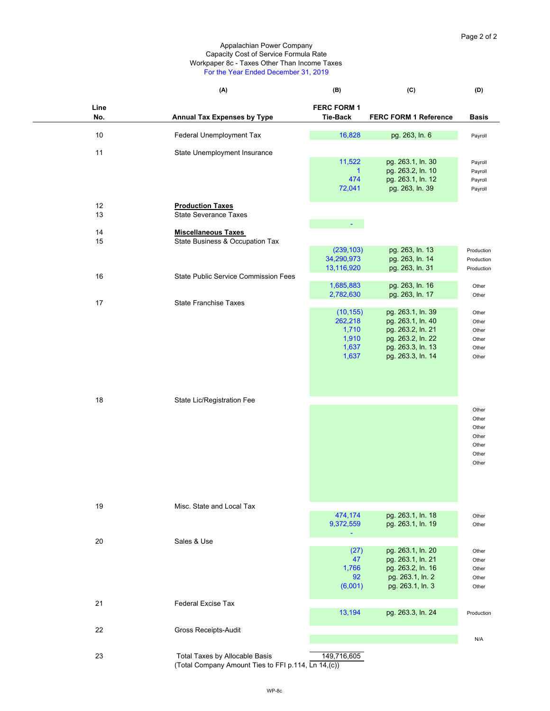#### Workpaper 8c - Taxes Other Than Income Taxes For the Year Ended December 31, 2019 Appalachian Power Company Capacity Cost of Service Formula Rate

|      | (A)                                         | (B)                | (C)                          | (D)          |
|------|---------------------------------------------|--------------------|------------------------------|--------------|
| Line |                                             | <b>FERC FORM 1</b> |                              |              |
| No.  | <b>Annual Tax Expenses by Type</b>          | <b>Tie-Back</b>    | <b>FERC FORM 1 Reference</b> | <b>Basis</b> |
|      |                                             |                    |                              |              |
| 10   | Federal Unemployment Tax                    | 16,828             | pg. 263, ln. 6               | Payroll      |
|      |                                             |                    |                              |              |
| 11   | State Unemployment Insurance                |                    |                              |              |
|      |                                             | 11,522             | pg. 263.1, ln. 30            | Payroll      |
|      |                                             | $\mathbf{1}$       | pg. 263.2, ln. 10            | Payroll      |
|      |                                             | 474                | pg. 263.1, ln. 12            | Payroll      |
|      |                                             | 72,041             | pg. 263, ln. 39              | Payroll      |
| 12   | <b>Production Taxes</b>                     |                    |                              |              |
| 13   | <b>State Severance Taxes</b>                |                    |                              |              |
|      |                                             | $\blacksquare$     |                              |              |
| 14   | <b>Miscellaneous Taxes</b>                  |                    |                              |              |
| 15   | State Business & Occupation Tax             |                    |                              |              |
|      |                                             | (239, 103)         | pg. 263, ln. 13              | Production   |
|      |                                             | 34,290,973         | pg. 263, ln. 14              | Production   |
|      |                                             | 13,116,920         | pg. 263, ln. 31              | Production   |
| 16   | <b>State Public Service Commission Fees</b> |                    |                              |              |
|      |                                             | 1,685,883          | pg. 263, ln. 16              | Other        |
|      |                                             | 2,782,630          | pg. 263, ln. 17              | Other        |
| 17   | <b>State Franchise Taxes</b>                |                    |                              |              |
|      |                                             | (10, 155)          | pg. 263.1, ln. 39            | Other        |
|      |                                             | 262,218            | pg. 263.1, ln. 40            | Other        |
|      |                                             | 1,710              | pg. 263.2, ln. 21            | Other        |
|      |                                             | 1,910              | pg. 263.2, ln. 22            | Other        |
|      |                                             | 1,637              | pg. 263.3, ln. 13            | Other        |
|      |                                             | 1,637              | pg. 263.3, ln. 14            | Other        |
|      |                                             |                    |                              |              |
|      |                                             |                    |                              |              |
|      |                                             |                    |                              |              |

| 18 | State Lic/Registration Fee |  |       |
|----|----------------------------|--|-------|
|    |                            |  | Other |
|    |                            |  | Other |
|    |                            |  | Other |
|    |                            |  | Other |
|    |                            |  | Other |
|    |                            |  | Other |
|    |                            |  | Other |
|    |                            |  |       |
|    |                            |  |       |
|    |                            |  |       |

| 19 | Misc. State and Local Tax                           |             |                   |            |
|----|-----------------------------------------------------|-------------|-------------------|------------|
|    |                                                     | 474,174     | pg. 263.1, ln. 18 | Other      |
|    |                                                     | 9,372,559   | pg. 263.1, ln. 19 | Other      |
|    |                                                     |             |                   |            |
| 20 | Sales & Use                                         |             |                   |            |
|    |                                                     | (27)        | pg. 263.1, ln. 20 | Other      |
|    |                                                     | 47          | pg. 263.1, ln. 21 | Other      |
|    |                                                     | 1,766       | pg. 263.2, ln. 16 | Other      |
|    |                                                     | 92          | pg. 263.1, ln. 2  | Other      |
|    |                                                     | (6,001)     | pg. 263.1, ln. 3  | Other      |
|    |                                                     |             |                   |            |
| 21 | <b>Federal Excise Tax</b>                           |             |                   |            |
|    |                                                     | 13,194      | pg. 263.3, ln. 24 | Production |
|    |                                                     |             |                   |            |
| 22 | <b>Gross Receipts-Audit</b>                         |             |                   |            |
|    |                                                     |             |                   | N/A        |
|    |                                                     |             |                   |            |
| 23 | Total Taxes by Allocable Basis                      | 149,716,605 |                   |            |
|    | (Total Company Amount Ties to FFI p.114, Ln 14,(c)) |             |                   |            |
|    |                                                     |             |                   |            |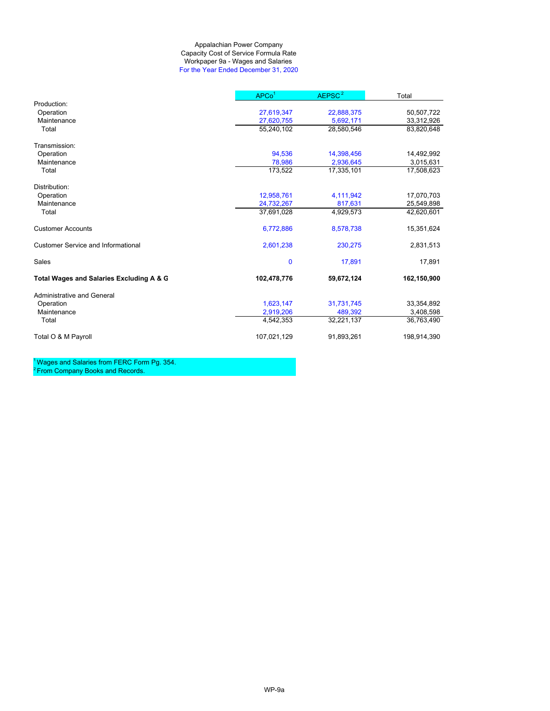#### Appalachian Power Company Workpaper 9a - Wages and Salaries For the Year Ended December 31, 2020 Capacity Cost of Service Formula Rate

|                                           | APCo <sup>1</sup> | AEPSC <sup>2</sup> | Total       |
|-------------------------------------------|-------------------|--------------------|-------------|
| Production:                               |                   |                    |             |
| Operation                                 | 27,619,347        | 22,888,375         | 50,507,722  |
| Maintenance                               | 27,620,755        | 5,692,171          | 33,312,926  |
| Total                                     | 55,240,102        | 28,580,546         | 83,820,648  |
| Transmission:                             |                   |                    |             |
| Operation                                 | 94,536            | 14,398,456         | 14,492,992  |
| Maintenance                               | 78.986            | 2,936,645          | 3,015,631   |
| Total                                     | 173,522           | 17,335,101         | 17,508,623  |
| Distribution:                             |                   |                    |             |
| Operation                                 | 12,958,761        | 4,111,942          | 17,070,703  |
| Maintenance                               | 24,732,267        | 817,631            | 25,549,898  |
| Total                                     | 37.691.028        | 4,929,573          | 42,620,601  |
| <b>Customer Accounts</b>                  | 6,772,886         | 8,578,738          | 15,351,624  |
| <b>Customer Service and Informational</b> | 2,601,238         | 230,275            | 2,831,513   |
| Sales                                     | $\mathbf 0$       | 17,891             | 17,891      |
| Total Wages and Salaries Excluding A & G  | 102,478,776       | 59,672,124         | 162,150,900 |
| <b>Administrative and General</b>         |                   |                    |             |
| Operation                                 | 1,623,147         | 31,731,745         | 33,354,892  |
| Maintenance                               | 2,919,206         | 489,392            | 3,408,598   |
| Total                                     | 4,542,353         | 32,221,137         | 36,763,490  |
| Total O & M Payroll                       | 107,021,129       | 91,893,261         | 198,914,390 |

<sup>1</sup> Wages and Salaries from FERC Form Pg. 354.  $2$  From Company Books and Records.

WP-9a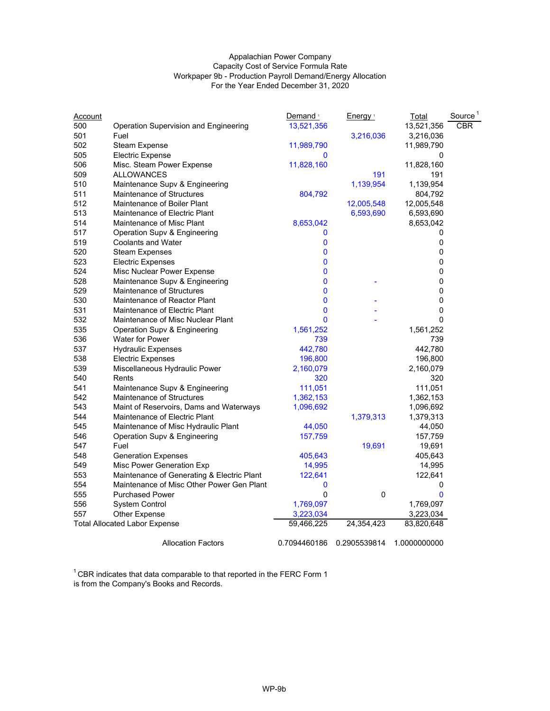#### Appalachian Power Company Capacity Cost of Service Formula Rate Workpaper 9b - Production Payroll Demand/Energy Allocation For the Year Ended December 31, 2020

| <u>Account</u> |                                            | Demand <sup>1</sup> | Energy <sup>1</sup> | <b>Total</b> | Source <sup>1</sup> |
|----------------|--------------------------------------------|---------------------|---------------------|--------------|---------------------|
| 500            | Operation Supervision and Engineering      | 13,521,356          |                     | 13,521,356   | <b>CBR</b>          |
| 501            | Fuel                                       |                     | 3,216,036           | 3,216,036    |                     |
| 502            | Steam Expense                              | 11,989,790          |                     | 11,989,790   |                     |
| 505            | <b>Electric Expense</b>                    | $\bf{0}$            |                     | 0            |                     |
| 506            | Misc. Steam Power Expense                  | 11,828,160          |                     | 11,828,160   |                     |
| 509            | <b>ALLOWANCES</b>                          |                     | 191                 | 191          |                     |
| 510            | Maintenance Supv & Engineering             |                     | 1,139,954           | 1,139,954    |                     |
| 511            | Maintenance of Structures                  | 804,792             |                     | 804,792      |                     |
| 512            | Maintenance of Boiler Plant                |                     | 12,005,548          | 12,005,548   |                     |
| 513            | Maintenance of Electric Plant              |                     | 6,593,690           | 6,593,690    |                     |
| 514            | Maintenance of Misc Plant                  | 8,653,042           |                     | 8,653,042    |                     |
| 517            | Operation Supy & Engineering               | 0                   |                     | 0            |                     |
| 519            | <b>Coolants and Water</b>                  | 0                   |                     | $\pmb{0}$    |                     |
| 520            | <b>Steam Expenses</b>                      | 0                   |                     | 0            |                     |
| 523            | <b>Electric Expenses</b>                   | 0                   |                     | $\pmb{0}$    |                     |
| 524            | Misc Nuclear Power Expense                 | 0                   |                     | 0            |                     |
| 528            | Maintenance Supv & Engineering             | 0                   |                     | 0            |                     |
| 529            | Maintenance of Structures                  | 0                   |                     | 0            |                     |
| 530            | Maintenance of Reactor Plant               | 0                   |                     | 0            |                     |
| 531            | Maintenance of Electric Plant              | 0                   |                     | 0            |                     |
| 532            | Maintenance of Misc Nuclear Plant          | 0                   |                     | $\Omega$     |                     |
| 535            | Operation Supv & Engineering               | 1,561,252           |                     | 1,561,252    |                     |
| 536            | <b>Water for Power</b>                     | 739                 |                     | 739          |                     |
| 537            | <b>Hydraulic Expenses</b>                  | 442,780             |                     | 442,780      |                     |
| 538            | <b>Electric Expenses</b>                   | 196,800             |                     | 196,800      |                     |
| 539            | Miscellaneous Hydraulic Power              | 2,160,079           |                     | 2,160,079    |                     |
| 540            | Rents                                      | 320                 |                     | 320          |                     |
| 541            | Maintenance Supv & Engineering             | 111,051             |                     | 111,051      |                     |
| 542            | Maintenance of Structures                  | 1,362,153           |                     | 1,362,153    |                     |
| 543            | Maint of Reservoirs, Dams and Waterways    | 1,096,692           |                     | 1,096,692    |                     |
| 544            | Maintenance of Electric Plant              |                     | 1,379,313           | 1,379,313    |                     |
| 545            | Maintenance of Misc Hydraulic Plant        | 44,050              |                     | 44,050       |                     |
| 546            | Operation Supv & Engineering               | 157,759             |                     | 157,759      |                     |
| 547            | Fuel                                       |                     | 19,691              | 19,691       |                     |
| 548            | <b>Generation Expenses</b>                 | 405,643             |                     | 405,643      |                     |
| 549            | Misc Power Generation Exp                  | 14,995              |                     | 14,995       |                     |
| 553            | Maintenance of Generating & Electric Plant | 122,641             |                     | 122,641      |                     |
| 554            | Maintenance of Misc Other Power Gen Plant  | 0                   |                     | 0            |                     |
| 555            | <b>Purchased Power</b>                     | 0                   | $\mathbf 0$         | 0            |                     |
| 556            | System Control                             | 1,769,097           |                     | 1,769,097    |                     |
| 557            | Other Expense                              | 3,223,034           |                     | 3,223,034    |                     |
|                | <b>Total Allocated Labor Expense</b>       | 59,466,225          | 24,354,423          | 83,820,648   |                     |
|                | <b>Allocation Factors</b>                  | 0.7094460186        | 0.2905539814        | 1.0000000000 |                     |

 $1$  CBR indicates that data comparable to that reported in the FERC Form 1 is from the Company's Books and Records.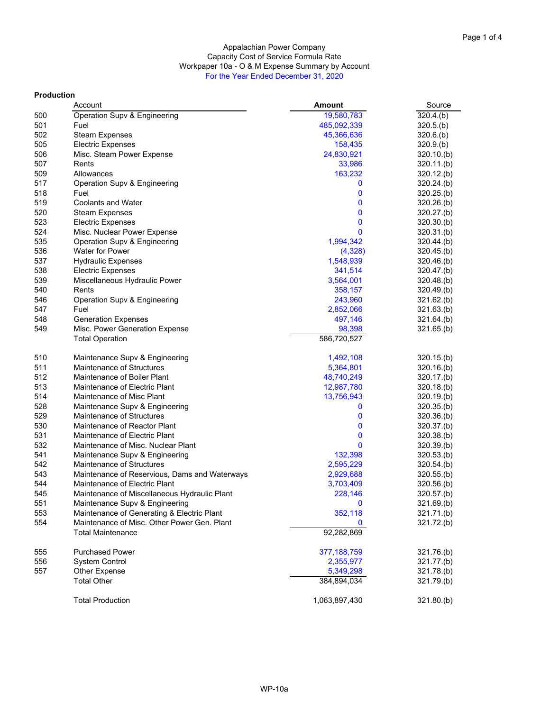#### Appalachian Power Company Capacity Cost of Service Formula Rate Workpaper 10a - O & M Expense Summary by Account For the Year Ended December 31, 2020

#### **Production**

|     | Account                                       | <b>Amount</b> | Source     |
|-----|-----------------------------------------------|---------------|------------|
| 500 | Operation Supv & Engineering                  | 19,580,783    | 320.4(b)   |
| 501 | Fuel                                          | 485,092,339   | 320.5(b)   |
| 502 | <b>Steam Expenses</b>                         | 45,366,636    | 320.6(b)   |
| 505 | <b>Electric Expenses</b>                      | 158,435       | 320.9(b)   |
| 506 | Misc. Steam Power Expense                     | 24,830,921    | 320.10(b)  |
| 507 | Rents                                         | 33,986        | 320.11(b)  |
| 509 | Allowances                                    | 163,232       | 320.12(b)  |
| 517 | Operation Supv & Engineering                  | 0             | 320.24(b)  |
| 518 | Fuel                                          | 0             | 320.25(b)  |
| 519 | <b>Coolants and Water</b>                     | 0             | 320.26(b)  |
| 520 | <b>Steam Expenses</b>                         | 0             | 320.27(b)  |
| 523 | <b>Electric Expenses</b>                      | 0             | 320.30(b)  |
| 524 | Misc. Nuclear Power Expense                   | 0             | 320.31(b)  |
| 535 | Operation Supv & Engineering                  | 1,994,342     | 320.44(b)  |
| 536 | <b>Water for Power</b>                        | (4,328)       | 320.45(b)  |
| 537 | <b>Hydraulic Expenses</b>                     | 1,548,939     | 320.46(b)  |
| 538 | <b>Electric Expenses</b>                      | 341,514       | 320.47(b)  |
| 539 | Miscellaneous Hydraulic Power                 | 3,564,001     | 320.48(b)  |
| 540 | Rents                                         | 358,157       | 320.49(b)  |
| 546 | Operation Supv & Engineering                  | 243,960       | 321.62(b)  |
| 547 | Fuel                                          | 2,852,066     | 321.63(b)  |
| 548 | <b>Generation Expenses</b>                    | 497,146       | 321.64(b)  |
| 549 | Misc. Power Generation Expense                | 98,398        | 321.65(b)  |
|     | <b>Total Operation</b>                        | 586,720,527   |            |
|     |                                               |               |            |
| 510 | Maintenance Supv & Engineering                | 1,492,108     | 320.15(b)  |
| 511 | Maintenance of Structures                     | 5,364,801     | 320.16(b)  |
| 512 | Maintenance of Boiler Plant                   | 48,740,249    | 320.17(b)  |
| 513 | Maintenance of Electric Plant                 | 12,987,780    | 320.18(b)  |
| 514 | Maintenance of Misc Plant                     | 13,756,943    | 320.19(b)  |
| 528 | Maintenance Supv & Engineering                | 0             | 320.35(b)  |
| 529 | Maintenance of Structures                     | 0             | 320.36(b)  |
| 530 | Maintenance of Reactor Plant                  | 0             | 320.37.(b) |
| 531 | Maintenance of Electric Plant                 | 0             | 320.38(b)  |
| 532 | Maintenance of Misc. Nuclear Plant            | 0             | 320.39(b)  |
| 541 | Maintenance Supv & Engineering                | 132,398       | 320.53(b)  |
| 542 | Maintenance of Structures                     | 2,595,229     | 320.54(b)  |
| 543 | Maintenance of Reservious, Dams and Waterways | 2,929,688     | 320.55(b)  |
| 544 | Maintenance of Electric Plant                 | 3,703,409     | 320.56(b)  |
| 545 | Maintenance of Miscellaneous Hydraulic Plant  | 228,146       | 320.57(b)  |
| 551 | Maintenance Supv & Engineering                | 0             | 321.69.(b) |
| 553 | Maintenance of Generating & Electric Plant    | 352,118       | 321.71.(b) |
| 554 | Maintenance of Misc. Other Power Gen. Plant   | 0             | 321.72.(b) |
|     | <b>Total Maintenance</b>                      | 92,282,869    |            |
|     |                                               |               |            |
| 555 | <b>Purchased Power</b>                        | 377, 188, 759 | 321.76(b)  |
| 556 | <b>System Control</b>                         | 2,355,977     | 321.77.(b) |
| 557 | Other Expense                                 | 5,349,298     | 321.78.(b) |
|     | <b>Total Other</b>                            | 384,894,034   | 321.79.(b) |
|     |                                               |               |            |
|     | <b>Total Production</b>                       | 1,063,897,430 | 321.80(b)  |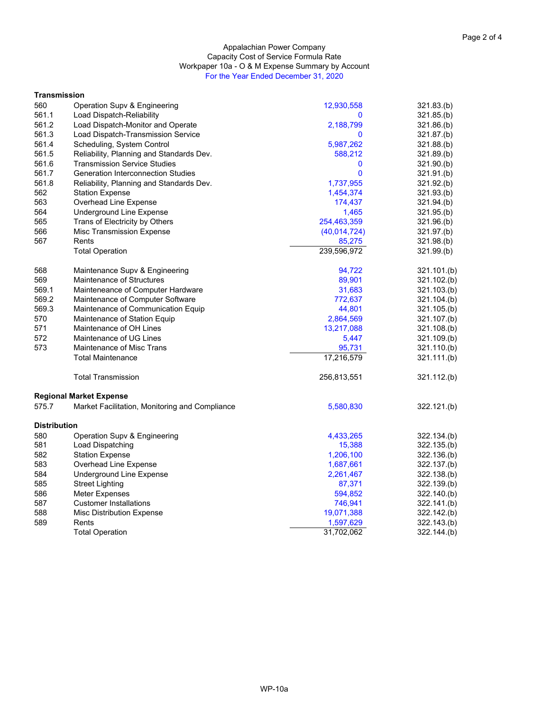#### Capacity Cost of Service Formula Rate Appalachian Power Company Workpaper 10a - O & M Expense Summary by Account For the Year Ended December 31, 2020

| Transmission        |                                                |              |             |
|---------------------|------------------------------------------------|--------------|-------------|
| 560                 | Operation Supv & Engineering                   | 12,930,558   | 321.83(b)   |
| 561.1               | Load Dispatch-Reliability                      | 0            | 321.85(b)   |
| 561.2               | Load Dispatch-Monitor and Operate              | 2,188,799    | 321.86.(b)  |
| 561.3               | Load Dispatch-Transmission Service             | 0            | 321.87.(b)  |
| 561.4               | Scheduling, System Control                     | 5,987,262    | 321.88(b)   |
| 561.5               | Reliability, Planning and Standards Dev.       | 588,212      | 321.89.(b)  |
| 561.6               | <b>Transmission Service Studies</b>            | 0            | 321.90(b)   |
| 561.7               | <b>Generation Interconnection Studies</b>      | 0            | 321.91(b)   |
| 561.8               | Reliability, Planning and Standards Dev.       | 1,737,955    | 321.92(b)   |
| 562                 | <b>Station Expense</b>                         | 1,454,374    | 321.93(b)   |
| 563                 | Overhead Line Expense                          | 174,437      | 321.94(b)   |
| 564                 | <b>Underground Line Expense</b>                | 1,465        | 321.95(b)   |
| 565                 | Trans of Electricity by Others                 | 254,463,359  | 321.96(b)   |
| 566                 | Misc Transmission Expense                      | (40,014,724) | 321.97.(b)  |
| 567                 | Rents                                          | 85,275       | 321.98(b)   |
|                     | <b>Total Operation</b>                         | 239,596,972  | 321.99.(b)  |
| 568                 | Maintenance Supv & Engineering                 | 94,722       | 321.101.(b) |
| 569                 | <b>Maintenance of Structures</b>               | 89,901       | 321.102.(b) |
| 569.1               | Mainteneance of Computer Hardware              | 31,683       | 321.103(b)  |
| 569.2               | Maintenance of Computer Software               | 772,637      | 321.104.(b) |
| 569.3               | Maintenance of Communication Equip             | 44,801       | 321.105.(b) |
| 570                 | Maintenance of Station Equip                   | 2,864,569    | 321.107.(b) |
| 571                 | Maintenance of OH Lines                        | 13,217,088   | 321.108.(b) |
| 572                 | Maintenance of UG Lines                        | 5,447        | 321.109.(b) |
| 573                 | Maintenance of Misc Trans                      | 95,731       | 321.110.(b) |
|                     | <b>Total Maintenance</b>                       | 17,216,579   | 321.111.(b) |
|                     | <b>Total Transmission</b>                      | 256,813,551  | 321.112.(b) |
|                     | Regional Market Expense                        |              |             |
| 575.7               | Market Facilitation, Monitoring and Compliance | 5,580,830    | 322.121.(b) |
| <b>Distribution</b> |                                                |              |             |
| 580                 | Operation Supv & Engineering                   | 4,433,265    | 322.134.(b) |
| 581                 | Load Dispatching                               | 15,388       | 322.135.(b) |
| 582                 | <b>Station Expense</b>                         | 1,206,100    | 322.136.(b) |
| 583                 | Overhead Line Expense                          | 1,687,661    | 322.137.(b) |
| 584                 | <b>Underground Line Expense</b>                | 2,261,467    | 322.138.(b) |
| 585                 | Street Lighting                                | 87,371       | 322.139.(b) |
| 586                 | Meter Expenses                                 | 594,852      | 322.140.(b) |
| 587                 | <b>Customer Installations</b>                  | 746,941      | 322.141.(b) |
| 588                 | <b>Misc Distribution Expense</b>               | 19,071,388   | 322.142.(b) |
| 589                 | Rents                                          | 1,597,629    | 322.143(b)  |
|                     | <b>Total Operation</b>                         | 31,702,062   | 322.144.(b) |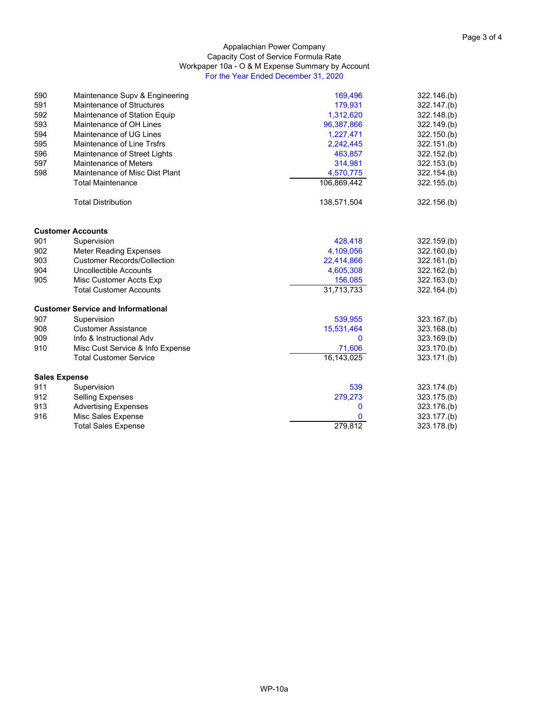#### Appalachian Power Company Capacity Cost of Service Formula Rate Workpaper 10a - O & M Expense Summary by Account For the Year Ended December 31, 2020

| 590 | Maintenance Supy & Engineering            | 169,496     | 322.146(b)  |
|-----|-------------------------------------------|-------------|-------------|
| 591 | Maintenance of Structures                 | 179,931     | 322.147.(b) |
| 592 | Maintenance of Station Equip              | 1,312,620   | 322.148.(b) |
| 593 | Maintenance of OH Lines                   | 96,387,866  | 322.149.(b) |
| 594 | Maintenance of UG Lines                   | 1,227,471   | 322.150(k)  |
| 595 | Maintenance of Line Trsfrs                | 2,242,445   | 322.151(k)  |
| 596 | Maintenance of Street Lights              | 463,857     | 322.152(b)  |
| 597 | <b>Maintenance of Meters</b>              | 314,981     | 322.153.(b) |
| 598 | Maintenance of Misc Dist Plant            | 4,570,775   | 322.154.(b) |
|     | <b>Total Maintenance</b>                  | 106,869,442 | 322.155(b)  |
|     | <b>Total Distribution</b>                 | 138,571,504 | 322.156(b)  |
|     | <b>Customer Accounts</b>                  |             |             |
| 901 | Supervision                               | 428,418     | 322.159(b)  |
| 902 | <b>Meter Reading Expenses</b>             | 4,109,056   | 322.160(b)  |
| 903 | <b>Customer Records/Collection</b>        | 22,414,866  | 322.161.(b) |
| 904 | Uncollectible Accounts                    | 4,605,308   | 322.162.(b) |
| 905 | Misc Customer Accts Exp                   | 156,085     | 322.163(b)  |
|     | <b>Total Customer Accounts</b>            | 31,713,733  | 322.164.(b) |
|     | <b>Customer Service and Informational</b> |             |             |
| 907 | Supervision                               | 539,955     | 323.167.(b) |
| 908 | <b>Customer Assistance</b>                | 15,531,464  | 323.168.(b) |
| 909 | Info & Instructional Adv                  | 0           | 323.169.(b) |
| 910 | Misc Cust Service & Info Expense          | 71,606      | 323.170.(b) |
|     | <b>Total Customer Service</b>             | 16,143,025  | 323.171.(b) |
|     | <b>Sales Expense</b>                      |             |             |
| 911 | Supervision                               | 539         | 323.174.(b) |
| 912 | <b>Selling Expenses</b>                   | 279,273     | 323.175.(b) |
| 913 | <b>Advertising Expenses</b>               | 0           | 323.176.(b) |
| 916 | Misc Sales Expense                        | 0           | 323.177.(b) |
|     | <b>Total Sales Expense</b>                | 279,812     | 323.178.(b) |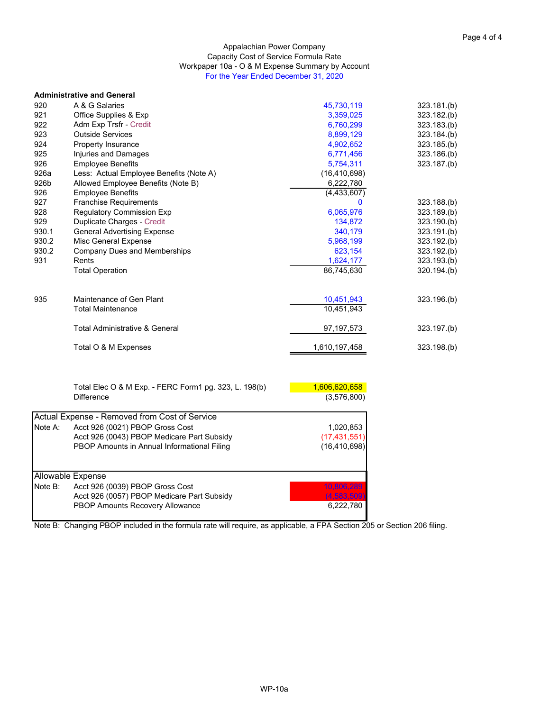#### Appalachian Power Company Capacity Cost of Service Formula Rate Workpaper 10a - O & M Expense Summary by Account For the Year Ended December 31, 2020

|       | <b>Administrative and General</b>                     |                |             |
|-------|-------------------------------------------------------|----------------|-------------|
| 920   | A & G Salaries                                        | 45,730,119     | 323.181(b)  |
| 921   | Office Supplies & Exp                                 | 3,359,025      | 323.182.(b) |
| 922   | Adm Exp Trsfr - Credit                                | 6,760,299      | 323.183(b)  |
| 923   | <b>Outside Services</b>                               | 8,899,129      | 323.184.(b) |
| 924   | Property Insurance                                    | 4,902,652      | 323.185.(b) |
| 925   | <b>Injuries and Damages</b>                           | 6,771,456      | 323.186(b)  |
| 926   | <b>Employee Benefits</b>                              | 5,754,311      | 323.187.(b) |
| 926a  | Less: Actual Employee Benefits (Note A)               | (16, 410, 698) |             |
| 926b  | Allowed Employee Benefits (Note B)                    | 6,222,780      |             |
| 926   | <b>Employee Benefits</b>                              | (4, 433, 607)  |             |
| 927   | <b>Franchise Requirements</b>                         | 0              | 323.188(b)  |
| 928   | <b>Regulatory Commission Exp</b>                      | 6,065,976      | 323.189.(b) |
| 929   | Duplicate Charges - Credit                            | 134,872        | 323.190(k)  |
| 930.1 | <b>General Advertising Expense</b>                    | 340,179        | 323.191.(b) |
| 930.2 | Misc General Expense                                  | 5,968,199      | 323.192.(b) |
| 930.2 | <b>Company Dues and Memberships</b>                   | 623,154        | 323.192(b)  |
| 931   | Rents                                                 | 1,624,177      | 323.193.(b) |
|       | <b>Total Operation</b>                                | 86,745,630     | 320.194(k)  |
| 935   | Maintenance of Gen Plant                              | 10,451,943     | 323.196(b)  |
|       | <b>Total Maintenance</b>                              | 10,451,943     |             |
|       | <b>Total Administrative &amp; General</b>             | 97, 197, 573   | 323.197.(b) |
|       | Total O & M Expenses                                  | 1,610,197,458  | 323.198.(b) |
|       |                                                       |                |             |
|       | Total Elec O & M Exp. - FERC Form1 pg. 323, L. 198(b) | 1,606,620,658  |             |

Difference (3,576,800) Actual Expense - Removed from Cost of Service Note A: Acct 926 (0021) PBOP Gross Cost 1,020,853 Acct 926 (0043) PBOP Medicare Part Subsidy (17,431,551)<br>
PBOP Amounts in Annual Informational Filing (16,410,698) PBOP Amounts in Annual Informational Filing Allowable Expense Note B: Acct 926 (0039) PBOP Gross Cost 10,806 Acct 926 (0057) PBOP Medicare Part Subsidy (4,583,509)<br>PBOP Amounts Recovery Allowance (6,222,780) PBOP Amounts Recovery Allowance

Note B: Changing PBOP included in the formula rate will require, as applicable, a FPA Section 205 or Section 206 filing.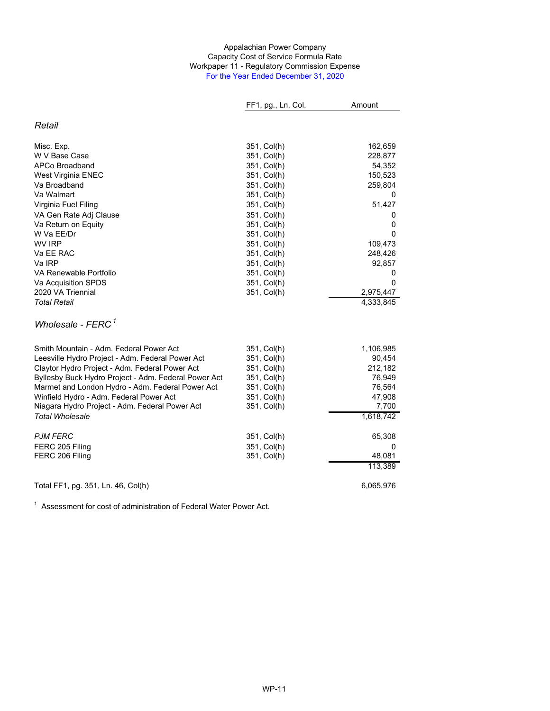#### Appalachian Power Company Workpaper 11 - Regulatory Commission Expense For the Year Ended December 31, 2020 Capacity Cost of Service Formula Rate

|                                                      | FF1, pg., Ln. Col. | Amount    |
|------------------------------------------------------|--------------------|-----------|
| Retail                                               |                    |           |
| Misc. Exp.                                           | 351, Col(h)        | 162,659   |
| W V Base Case                                        | 351, Col(h)        | 228,877   |
| APCo Broadband                                       | 351, Col(h)        | 54,352    |
| West Virginia ENEC                                   | 351, Col(h)        | 150,523   |
| Va Broadband                                         | 351, Col(h)        | 259,804   |
| Va Walmart                                           | 351, Col(h)        | 0         |
| Virginia Fuel Filing                                 | 351, Col(h)        | 51,427    |
| VA Gen Rate Adj Clause                               | 351, Col(h)        | 0         |
| Va Return on Equity                                  | 351, Col(h)        | 0         |
| W Va EE/Dr                                           | 351, Col(h)        | 0         |
| <b>WV IRP</b>                                        | 351, Col(h)        | 109,473   |
| Va EE RAC                                            | 351, Col(h)        | 248,426   |
| Va IRP                                               | 351, Col(h)        | 92,857    |
| VA Renewable Portfolio                               | 351, Col(h)        | 0         |
| Va Acquisition SPDS                                  | 351, Col(h)        | 0         |
| 2020 VA Triennial                                    | 351, Col(h)        | 2,975,447 |
| <b>Total Retail</b>                                  |                    | 4,333,845 |
| Wholesale - $FERC1$                                  |                    |           |
| Smith Mountain - Adm. Federal Power Act              | 351, Col(h)        | 1,106,985 |
| Leesville Hydro Project - Adm. Federal Power Act     | 351, Col(h)        | 90,454    |
| Claytor Hydro Project - Adm. Federal Power Act       | 351, Col(h)        | 212,182   |
| Byllesby Buck Hydro Project - Adm. Federal Power Act | 351, Col(h)        | 76,949    |
| Marmet and London Hydro - Adm. Federal Power Act     | 351, Col(h)        | 76,564    |
| Winfield Hydro - Adm. Federal Power Act              | 351, Col(h)        | 47,908    |
| Niagara Hydro Project - Adm. Federal Power Act       | 351, Col(h)        | 7,700     |
| <b>Total Wholesale</b>                               |                    | 1,618,742 |
| <b>PJM FERC</b>                                      | 351, Col(h)        | 65,308    |
| FERC 205 Filing                                      | 351, Col(h)        | 0         |
| FERC 206 Filing                                      | 351, Col(h)        | 48,081    |
|                                                      |                    | 113,389   |
| Total FF1, pg. 351, Ln. 46, Col(h)                   |                    | 6,065,976 |

 $1$  Assessment for cost of administration of Federal Water Power Act.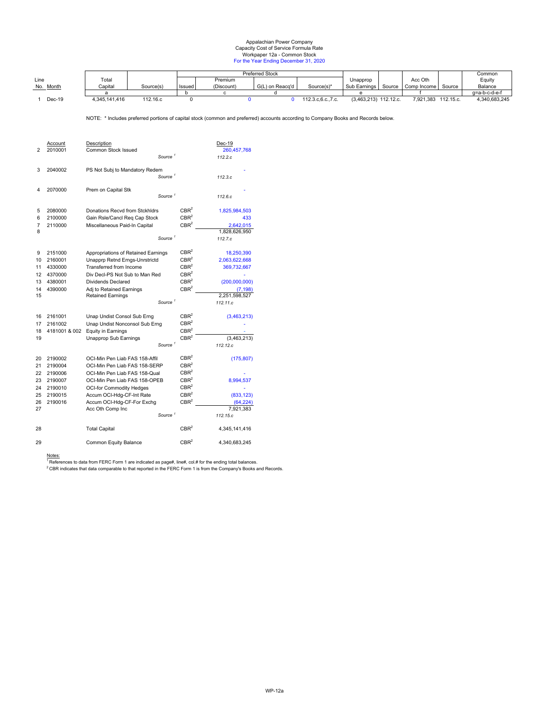#### Appalachian Power Company Workpaper 12a - Common Stock For the Year Ending December 31, 2020 Capacity Cost of Service Formula Rate

|           |               |           |        | <b>Preferred Stock</b> |                 |                 |                         | Common      |           |               |
|-----------|---------------|-----------|--------|------------------------|-----------------|-----------------|-------------------------|-------------|-----------|---------------|
| Line      | Total         |           |        | Premium                |                 |                 | Unapprop                | Acc Oth     |           | Equity        |
| No. Month | Capital       | Source(s) | Issued | (Discount)             | G(L) on Reacq'd | Source(s)*      | Sub Earnings Source     | Comp Income | Source    | Balance       |
|           |               |           |        |                        |                 |                 |                         |             |           | a=a-b-c-d-e-f |
| $Dec-19$  | 4.345.141.416 | 112.16.c  |        |                        |                 | 112.3.c.6.c7.c. | $(3,463,213)$ 112.12.c. | 7.921.383   | 112.15.c. | 4.340.683.245 |

NOTE: \* Includes preferred portions of capital stock (common and preferred) accounts according to Company Books and Records below.

| $\overline{2}$                               | Account<br>2010001                                                        | Description<br>Common Stock Issued                                                                                                                                                                                                                  | Source <sup>1</sup>  |                                                                                                                                          | Dec-19<br>260, 457, 768<br>112.2.c                                         |
|----------------------------------------------|---------------------------------------------------------------------------|-----------------------------------------------------------------------------------------------------------------------------------------------------------------------------------------------------------------------------------------------------|----------------------|------------------------------------------------------------------------------------------------------------------------------------------|----------------------------------------------------------------------------|
| 3                                            | 2040002                                                                   | PS Not Subj to Mandatory Redem                                                                                                                                                                                                                      | Source <sup>1</sup>  |                                                                                                                                          | 112.3c                                                                     |
| 4                                            | 2070000                                                                   | Prem on Capital Stk                                                                                                                                                                                                                                 | Source <sup>1</sup>  |                                                                                                                                          | 112.6c                                                                     |
| 5<br>6<br>7<br>8                             | 2080000<br>2100000<br>2110000                                             | Donations Recvd from Stckhldrs<br>Gain Rsle/Cancl Req Cap Stock<br>Miscellaneous Paid-In Capital                                                                                                                                                    | Source <sup>1</sup>  | CBR <sup>2</sup><br>CBR <sup>2</sup><br>CBR <sup>2</sup>                                                                                 | 1,825,984,503<br>433<br>2,642,015<br>1,828,626,950<br>112.7.c              |
| 9<br>10<br>11<br>12<br>13<br>14              | 2151000<br>2160001<br>4330000<br>4370000<br>4380001<br>4390000            | Appropriations of Retained Earnings<br>Unapprp Retnd Erngs-Unrstrictd<br>Transferred from Income<br>Div Decl-PS Not Sub to Man Red<br><b>Dividends Declared</b><br>Adj to Retained Earnings                                                         |                      | CBR <sup>2</sup><br>CBR <sup>2</sup><br>CBR <sup>2</sup><br>CBR <sup>2</sup><br>CBR <sup>2</sup><br>CBR <sup>2</sup>                     | 18,250,390<br>2,063,622,668<br>369,732,667<br>(200,000,000)<br>(7, 198)    |
| 15                                           |                                                                           | <b>Retained Earnings</b>                                                                                                                                                                                                                            | Source $^\mathrm{1}$ |                                                                                                                                          | 2.251.598.527<br>112.11.c                                                  |
| 16<br>17<br>18<br>19                         | 2161001<br>2161002<br>4181001 & 002                                       | Unap Undist Consol Sub Erng<br>Unap Undist Nonconsol Sub Erng<br><b>Equity in Earnings</b><br>Unapprop Sub Earnings                                                                                                                                 | Source <sup>1</sup>  | CBR <sup>2</sup><br>CBR <sup>2</sup><br>CBR <sup>2</sup><br>CBR <sup>2</sup>                                                             | (3,463,213)<br>(3.463.213)<br>112.12.c                                     |
| 20<br>21<br>22<br>23<br>24<br>25<br>26<br>27 | 2190002<br>2190004<br>2190006<br>2190007<br>2190010<br>2190015<br>2190016 | OCI-Min Pen Liab FAS 158-Affil<br>OCI-Min Pen Liab FAS 158-SERP<br>OCI-Min Pen Liab FAS 158-Qual<br>OCI-Min Pen Liab FAS 158-OPEB<br><b>OCI-for Commodity Hedges</b><br>Accum OCI-Hdg-CF-Int Rate<br>Accum OCI-Hdg-CF-For Exchg<br>Acc Oth Comp Inc | Source <sup>1</sup>  | CBR <sup>2</sup><br>CBR <sup>2</sup><br>CBR <sup>2</sup><br>CBR <sup>2</sup><br>CBR <sup>2</sup><br>CBR <sup>2</sup><br>CBR <sup>2</sup> | (175, 807)<br>8,994,537<br>(833, 123)<br>(64, 224)<br>7.921.383<br>112.15c |
| 28                                           |                                                                           | <b>Total Capital</b>                                                                                                                                                                                                                                |                      | CBR <sup>2</sup>                                                                                                                         | 4,345,141,416                                                              |

<u>Notes:</u><br><sup>1</sup> References to data from FERC Form 1 are indicated as page#, line#, col.# for the ending total balances.<br><sup>2</sup> CBR indicates that data comparable to that reported in the FERC Form 1 is from the Company's Books a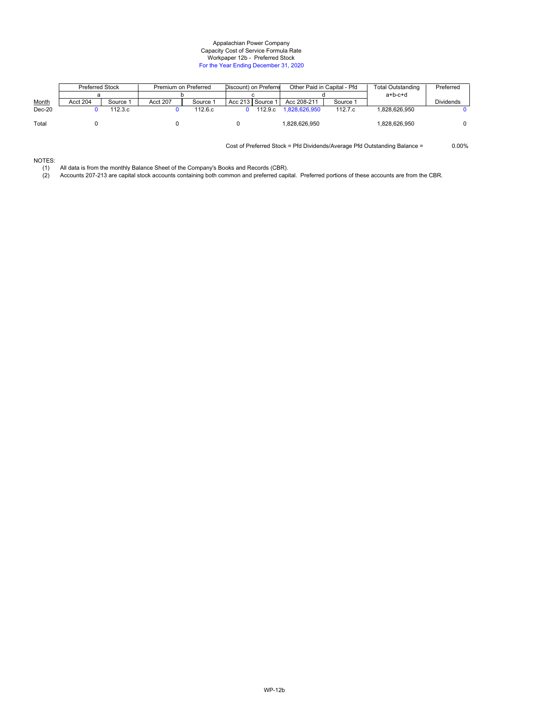#### Capacity Cost of Service Formula Rate Appalachian Power Company Workpaper 12b - Preferred Stock For the Year Ending December 31, 2020

|              | <b>Preferred Stock</b> |          | Premium on Preferred |          |  | Discount) on Preferre | Other Paid in Capital - Pfd |          | Total Outstanding | Preferred |
|--------------|------------------------|----------|----------------------|----------|--|-----------------------|-----------------------------|----------|-------------------|-----------|
|              |                        |          |                      |          |  |                       |                             |          | $a+b-c+d$         |           |
| <b>Month</b> | Acct 204               | Source 1 | Acct 207             | Source 1 |  | Acc 213 Source 1      | Acc 208-211                 | Source 1 |                   | Dividends |
| $Dec-20$     |                        | 112.3.c  |                      | 112.6.c. |  | 112.9.c               | 1.828.626.950               | 112.7.c  | .828.626.950      |           |
| Total        |                        |          |                      |          |  |                       | 1.828.626.950               |          | 828.626.950       |           |

Cost of Preferred Stock = Pfd Dividends/Average Pfd Outstanding Balance = 0.00%

# NOTES:

(1) All data is from the monthly Balance Sheet of the Company's Books and Records (CBR).

(2) Accounts 207-213 are capital stock accounts containing both common and preferred capital. Preferred portions of these accounts are from the CBR.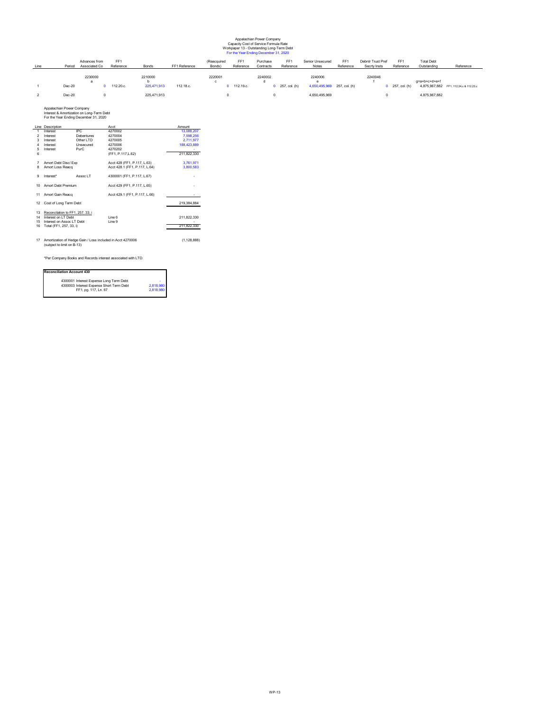#### Appalachian Power Company Workpaper 13 - Outstanding Long-Term Debt For the Year Ending December 31, 2020 Capacity Cost of Service Formula Rate

| Line | Period           | Advances from<br>Associated Co | FF <sub>1</sub><br>Reference | Bonds                                 | FF1 Reference | (Reacquired<br>Bonds) | FF <sub>1</sub><br>Reference | Purchase<br>Contracts | FF <sub>1</sub><br>Reference | Senior Unsecured<br>Notes                               | FF <sub>1</sub><br>Reference | Debntr Trust Pref<br>Secrty Insts | FF <sub>1</sub><br>Reference | <b>Total Debt</b><br>Outstanding | Reference                              |
|------|------------------|--------------------------------|------------------------------|---------------------------------------|---------------|-----------------------|------------------------------|-----------------------|------------------------------|---------------------------------------------------------|------------------------------|-----------------------------------|------------------------------|----------------------------------|----------------------------------------|
|      | Dec-20<br>Dec-20 | 2230000                        | 112.20.c.                    | 2210000<br>225,471,913<br>225,471,913 | 112.18.c.     | 2220001               | 112.19.c.                    | 2240002               | $0$ 257, col. (h)            | 2240006<br>4,650,495,969 257, col. (h)<br>4,650,495,969 |                              | 2240046                           | $0$ 257, col. (h)            | q=a+b+c+d+e+f<br>4,875,967,882   | 4,875,967,882 FF1, 112,24,c & 112,23,c |

For the Year Ending December 31, 2020 Appalachian Power Company Interest & Amortization on Long-Term Debt

|                | Line Description                 |            | Acct                                                       | Amount      |
|----------------|----------------------------------|------------|------------------------------------------------------------|-------------|
| 1              | Interest                         | IPC        | 4270002                                                    | 13,088,207  |
| $\overline{2}$ | Interest                         | Debentures | 4270004                                                    | 7.598.256   |
| 3              | Interest                         | Other I TD | 4270005                                                    | 2,711,977   |
| $\overline{4}$ | Interest                         | Unsecured  | 4270006                                                    | 188,423,889 |
| 5              | Interest                         | PurC       | 4270202                                                    |             |
| 6              |                                  |            | (FF1, P.117, L.62)                                         | 211.822.330 |
| 7              | Amort Debt Disc/ Exp             |            | Acct 428 (FF1, P.117, L.63)                                | 3.761.971   |
| 8              | Amort Loss Reacq                 |            | Acct 428.1 (FF1, P.117, L.64)                              | 3,800,583   |
| 9              | Interest*                        | Assoc I T  | 4300001 (FF1, P.117, L.67)                                 |             |
| 10             | Amort Debt Premium               |            | Acct 429 (FF1, P.117, L.65)                                |             |
| 11             | Amort Gain Reacq                 |            | Acct 429.1 (FF1, P.117, L.66)                              |             |
| 12             | Cost of Long Term Debt           |            |                                                            | 219.384.884 |
| 13             | Reconcilation to FF1, 257, 33, i |            |                                                            |             |
| 14             | Interest on I T Debt             |            | Line 6                                                     | 211.822.330 |
| 15             | Interest on Assoc I T Debt       |            | I ine 9                                                    |             |
| 16             | Total (FF1, 257, 33, i)          |            |                                                            | 211.822.330 |
| 17             |                                  |            | Amortization of Hedge Gain / Loss included in Acct 4270006 | (1.128.888) |
|                | (subject to limit on B-13)       |            |                                                            |             |

\*Per Company Books and Records interest associated with LTD.

#### **Reconciliation Account 430**

| 4300001 Interest Expense Long Term Debt  | $\overline{\phantom{a}}$ |
|------------------------------------------|--------------------------|
| 4300003 Interest Expense Short Term Debt | 2.818.980                |
| FF1, pg. 117, Ln. 67                     | 2.818.980                |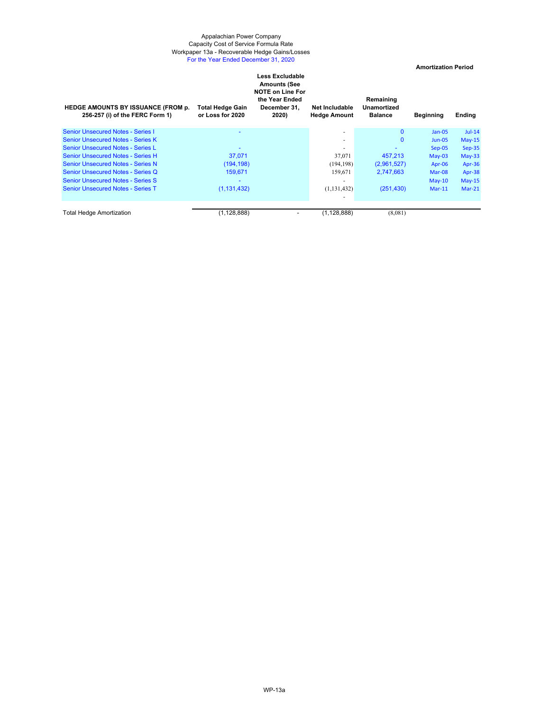#### Appalachian Power Company Workpaper 13a - Recoverable Hedge Gains/Losses For the Year Ended December 31, 2020 Capacity Cost of Service Formula Rate

 **Amortization Period** 

| <b>HEDGE AMOUNTS BY ISSUANCE (FROM p.</b><br>256-257 (i) of the FERC Form 1) | Total Hedge Gain<br>or Loss for 2020 | Less Excludable<br><b>Amounts (See</b><br><b>NOTE on Line For</b><br>the Year Ended<br>December 31,<br>2020) | <b>Net Includable</b><br><b>Hedge Amount</b> | Remaining<br>Unamortized<br><b>Balance</b> | <b>Beginning</b> | Ending   |
|------------------------------------------------------------------------------|--------------------------------------|--------------------------------------------------------------------------------------------------------------|----------------------------------------------|--------------------------------------------|------------------|----------|
| <b>Senior Unsecured Notes - Series I</b>                                     |                                      |                                                                                                              | ٠                                            | $\mathbf{0}$                               | $Jan-05$         | $Jul-14$ |
| <b>Senior Unsecured Notes - Series K</b>                                     |                                      |                                                                                                              | ٠                                            | $\mathbf 0$                                | $Jun-05$         | $May-15$ |
| Senior Unsecured Notes - Series L                                            |                                      |                                                                                                              | $\overline{a}$                               |                                            | $Sep-05$         | $Sep-35$ |
| <b>Senior Unsecured Notes - Series H</b>                                     | 37.071                               |                                                                                                              | 37,071                                       | 457.213                                    | $May-03$         | $May-33$ |
| <b>Senior Unsecured Notes - Series N</b>                                     | (194, 198)                           |                                                                                                              | (194, 198)                                   | (2,961,527)                                | Apr-06           | Apr-36   |
| <b>Senior Unsecured Notes - Series Q</b>                                     | 159.671                              |                                                                                                              | 159,671                                      | 2,747,663                                  | Mar-08           | Apr-38   |
| <b>Senior Unsecured Notes - Series S</b>                                     |                                      |                                                                                                              | ٠                                            |                                            | $May-10$         | $May-15$ |
| <b>Senior Unsecured Notes - Series T</b>                                     | (1, 131, 432)                        |                                                                                                              | (1, 131, 432)                                | (251, 430)                                 | $Mar-11$         | $Mar-21$ |
|                                                                              |                                      |                                                                                                              |                                              |                                            |                  |          |
| Total Hedge Amortization                                                     | (1, 128, 888)                        |                                                                                                              | (1, 128, 888)                                | (8,081)                                    |                  |          |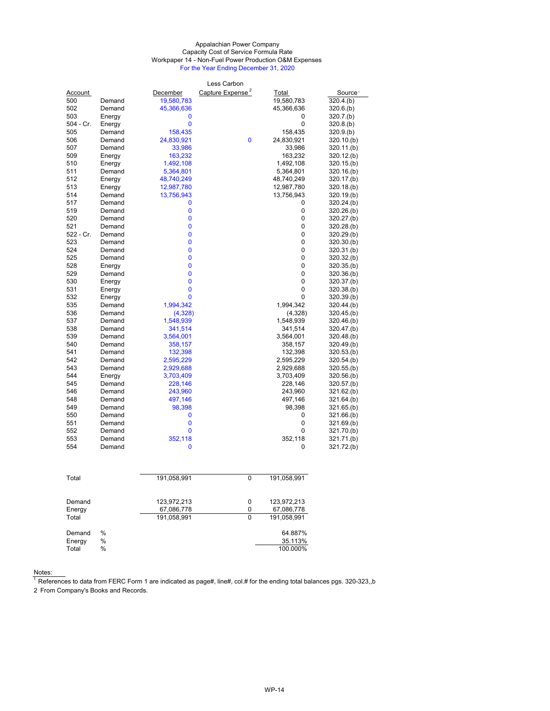#### Appalachian Power Company Capacity Cost of Service Formula Rate Workpaper 14 - Non-Fuel Power Production O&M Expenses For the Year Ending December 31, 2020

| Capture Expense <sup>2</sup><br>Account<br>December<br>Total<br>Source <sup>1</sup><br>19,580,783<br>19,580,783<br>320.4(b)<br>500<br>Demand<br>502<br>Demand<br>45,366,636<br>45,366,636<br>320.6(b)<br>503<br>Energy<br>0<br>320.7(b)<br>0<br>0<br>$\mathbf 0$<br>504 - Cr.<br>Energy<br>320.8(b)<br>505<br>Demand<br>158,435<br>158,435<br>320.9(b)<br>0<br>24,830,921<br>24,830,921<br>506<br>Demand<br>320.10(b)<br>507<br>Demand<br>33,986<br>33,986<br>320.11.(b)<br>163,232<br>163,232<br>509<br>Energy<br>320.12(b)<br>510<br>Energy<br>1,492,108<br>1,492,108<br>320.15(b)<br>511<br>Demand<br>5,364,801<br>5,364,801<br>320.16(b)<br>512<br>Energy<br>48,740,249<br>48,740,249<br>320.17.(b)<br>513<br>Energy<br>12,987,780<br>12,987,780<br>320.18(b)<br>13,756,943<br>13,756,943<br>514<br>Demand<br>320.19(b)<br>517<br>Demand<br>0<br>0<br>320.24.(b)<br>0<br>0<br>320.26.(b)<br>519<br>Demand<br>0<br>520<br>0<br>Demand<br>320.27(b)<br>521<br>0<br>0<br>Demand<br>320.28(b)<br>$\mathbf 0$<br>522 - Cr.<br>Demand<br>0<br>320.29(b)<br>0<br>0<br>523<br>Demand<br>320.30(b)<br>524<br>0<br>0<br>Demand<br>320.31(b)<br>$\mathbf 0$<br>525<br>Demand<br>0<br>320.32(b)<br>0<br>0<br>528<br>Energy<br>320.35(b)<br>529<br>0<br>0<br>Demand<br>320.36(b)<br>$\bf{0}$<br>0<br>530<br>Energy<br>320.37.(b)<br>0<br>0<br>531<br>Energy<br>320.38(b)<br>0<br>0<br>532<br>320.39(b)<br>Energy<br>535<br>1,994,342<br>Demand<br>1,994,342<br>320.44(k)<br>536<br>Demand<br>(4,328)<br>(4,328)<br>320.45(b)<br>1,548,939<br>537<br>Demand<br>1,548,939<br>320.46(b)<br>341,514<br>538<br>Demand<br>341,514<br>320.47.(b)<br>539<br>Demand<br>3,564,001<br>3,564,001<br>320.48(b)<br>540<br>Demand<br>358,157<br>358,157<br>320.49(b)<br>541<br>Demand<br>132,398<br>132,398<br>320.53(b)<br>542<br>Demand<br>2,595,229<br>2,595,229<br>$320.54($ b)<br>543<br>Demand<br>2,929,688<br>2,929,688<br>320.55(b)<br>544<br>Energy<br>3,703,409<br>3,703,409<br>320.56(b)<br>Demand<br>228,146<br>228,146<br>545<br>320.57(b)<br>546<br>Demand<br>243,960<br>243,960<br>321.62(b)<br>497,146<br>497,146<br>548<br>Demand<br>321.64.(b)<br>98,398<br>98,398<br>549<br>Demand<br>321.65(b)<br>550<br>Demand<br>0<br>0<br>321.66(b)<br>0<br>0<br>551<br>Demand<br>321.69.(b)<br>0<br>552<br>0<br>321.70.(b)<br>Demand<br>553<br>Demand<br>352,118<br>352,118<br>321.71.(b)<br>554<br>Demand<br>0<br>0<br>321.72.(b) |  | Less Carbon |  |
|--------------------------------------------------------------------------------------------------------------------------------------------------------------------------------------------------------------------------------------------------------------------------------------------------------------------------------------------------------------------------------------------------------------------------------------------------------------------------------------------------------------------------------------------------------------------------------------------------------------------------------------------------------------------------------------------------------------------------------------------------------------------------------------------------------------------------------------------------------------------------------------------------------------------------------------------------------------------------------------------------------------------------------------------------------------------------------------------------------------------------------------------------------------------------------------------------------------------------------------------------------------------------------------------------------------------------------------------------------------------------------------------------------------------------------------------------------------------------------------------------------------------------------------------------------------------------------------------------------------------------------------------------------------------------------------------------------------------------------------------------------------------------------------------------------------------------------------------------------------------------------------------------------------------------------------------------------------------------------------------------------------------------------------------------------------------------------------------------------------------------------------------------------------------------------------------------------------------------------------------------------------------------------------------------------------------------------------------------------------------------------------------------------------------|--|-------------|--|
|                                                                                                                                                                                                                                                                                                                                                                                                                                                                                                                                                                                                                                                                                                                                                                                                                                                                                                                                                                                                                                                                                                                                                                                                                                                                                                                                                                                                                                                                                                                                                                                                                                                                                                                                                                                                                                                                                                                                                                                                                                                                                                                                                                                                                                                                                                                                                                                                                    |  |             |  |
|                                                                                                                                                                                                                                                                                                                                                                                                                                                                                                                                                                                                                                                                                                                                                                                                                                                                                                                                                                                                                                                                                                                                                                                                                                                                                                                                                                                                                                                                                                                                                                                                                                                                                                                                                                                                                                                                                                                                                                                                                                                                                                                                                                                                                                                                                                                                                                                                                    |  |             |  |
|                                                                                                                                                                                                                                                                                                                                                                                                                                                                                                                                                                                                                                                                                                                                                                                                                                                                                                                                                                                                                                                                                                                                                                                                                                                                                                                                                                                                                                                                                                                                                                                                                                                                                                                                                                                                                                                                                                                                                                                                                                                                                                                                                                                                                                                                                                                                                                                                                    |  |             |  |
|                                                                                                                                                                                                                                                                                                                                                                                                                                                                                                                                                                                                                                                                                                                                                                                                                                                                                                                                                                                                                                                                                                                                                                                                                                                                                                                                                                                                                                                                                                                                                                                                                                                                                                                                                                                                                                                                                                                                                                                                                                                                                                                                                                                                                                                                                                                                                                                                                    |  |             |  |
|                                                                                                                                                                                                                                                                                                                                                                                                                                                                                                                                                                                                                                                                                                                                                                                                                                                                                                                                                                                                                                                                                                                                                                                                                                                                                                                                                                                                                                                                                                                                                                                                                                                                                                                                                                                                                                                                                                                                                                                                                                                                                                                                                                                                                                                                                                                                                                                                                    |  |             |  |
|                                                                                                                                                                                                                                                                                                                                                                                                                                                                                                                                                                                                                                                                                                                                                                                                                                                                                                                                                                                                                                                                                                                                                                                                                                                                                                                                                                                                                                                                                                                                                                                                                                                                                                                                                                                                                                                                                                                                                                                                                                                                                                                                                                                                                                                                                                                                                                                                                    |  |             |  |
|                                                                                                                                                                                                                                                                                                                                                                                                                                                                                                                                                                                                                                                                                                                                                                                                                                                                                                                                                                                                                                                                                                                                                                                                                                                                                                                                                                                                                                                                                                                                                                                                                                                                                                                                                                                                                                                                                                                                                                                                                                                                                                                                                                                                                                                                                                                                                                                                                    |  |             |  |
|                                                                                                                                                                                                                                                                                                                                                                                                                                                                                                                                                                                                                                                                                                                                                                                                                                                                                                                                                                                                                                                                                                                                                                                                                                                                                                                                                                                                                                                                                                                                                                                                                                                                                                                                                                                                                                                                                                                                                                                                                                                                                                                                                                                                                                                                                                                                                                                                                    |  |             |  |
|                                                                                                                                                                                                                                                                                                                                                                                                                                                                                                                                                                                                                                                                                                                                                                                                                                                                                                                                                                                                                                                                                                                                                                                                                                                                                                                                                                                                                                                                                                                                                                                                                                                                                                                                                                                                                                                                                                                                                                                                                                                                                                                                                                                                                                                                                                                                                                                                                    |  |             |  |
|                                                                                                                                                                                                                                                                                                                                                                                                                                                                                                                                                                                                                                                                                                                                                                                                                                                                                                                                                                                                                                                                                                                                                                                                                                                                                                                                                                                                                                                                                                                                                                                                                                                                                                                                                                                                                                                                                                                                                                                                                                                                                                                                                                                                                                                                                                                                                                                                                    |  |             |  |
|                                                                                                                                                                                                                                                                                                                                                                                                                                                                                                                                                                                                                                                                                                                                                                                                                                                                                                                                                                                                                                                                                                                                                                                                                                                                                                                                                                                                                                                                                                                                                                                                                                                                                                                                                                                                                                                                                                                                                                                                                                                                                                                                                                                                                                                                                                                                                                                                                    |  |             |  |
|                                                                                                                                                                                                                                                                                                                                                                                                                                                                                                                                                                                                                                                                                                                                                                                                                                                                                                                                                                                                                                                                                                                                                                                                                                                                                                                                                                                                                                                                                                                                                                                                                                                                                                                                                                                                                                                                                                                                                                                                                                                                                                                                                                                                                                                                                                                                                                                                                    |  |             |  |
|                                                                                                                                                                                                                                                                                                                                                                                                                                                                                                                                                                                                                                                                                                                                                                                                                                                                                                                                                                                                                                                                                                                                                                                                                                                                                                                                                                                                                                                                                                                                                                                                                                                                                                                                                                                                                                                                                                                                                                                                                                                                                                                                                                                                                                                                                                                                                                                                                    |  |             |  |
|                                                                                                                                                                                                                                                                                                                                                                                                                                                                                                                                                                                                                                                                                                                                                                                                                                                                                                                                                                                                                                                                                                                                                                                                                                                                                                                                                                                                                                                                                                                                                                                                                                                                                                                                                                                                                                                                                                                                                                                                                                                                                                                                                                                                                                                                                                                                                                                                                    |  |             |  |
|                                                                                                                                                                                                                                                                                                                                                                                                                                                                                                                                                                                                                                                                                                                                                                                                                                                                                                                                                                                                                                                                                                                                                                                                                                                                                                                                                                                                                                                                                                                                                                                                                                                                                                                                                                                                                                                                                                                                                                                                                                                                                                                                                                                                                                                                                                                                                                                                                    |  |             |  |
|                                                                                                                                                                                                                                                                                                                                                                                                                                                                                                                                                                                                                                                                                                                                                                                                                                                                                                                                                                                                                                                                                                                                                                                                                                                                                                                                                                                                                                                                                                                                                                                                                                                                                                                                                                                                                                                                                                                                                                                                                                                                                                                                                                                                                                                                                                                                                                                                                    |  |             |  |
|                                                                                                                                                                                                                                                                                                                                                                                                                                                                                                                                                                                                                                                                                                                                                                                                                                                                                                                                                                                                                                                                                                                                                                                                                                                                                                                                                                                                                                                                                                                                                                                                                                                                                                                                                                                                                                                                                                                                                                                                                                                                                                                                                                                                                                                                                                                                                                                                                    |  |             |  |
|                                                                                                                                                                                                                                                                                                                                                                                                                                                                                                                                                                                                                                                                                                                                                                                                                                                                                                                                                                                                                                                                                                                                                                                                                                                                                                                                                                                                                                                                                                                                                                                                                                                                                                                                                                                                                                                                                                                                                                                                                                                                                                                                                                                                                                                                                                                                                                                                                    |  |             |  |
|                                                                                                                                                                                                                                                                                                                                                                                                                                                                                                                                                                                                                                                                                                                                                                                                                                                                                                                                                                                                                                                                                                                                                                                                                                                                                                                                                                                                                                                                                                                                                                                                                                                                                                                                                                                                                                                                                                                                                                                                                                                                                                                                                                                                                                                                                                                                                                                                                    |  |             |  |
|                                                                                                                                                                                                                                                                                                                                                                                                                                                                                                                                                                                                                                                                                                                                                                                                                                                                                                                                                                                                                                                                                                                                                                                                                                                                                                                                                                                                                                                                                                                                                                                                                                                                                                                                                                                                                                                                                                                                                                                                                                                                                                                                                                                                                                                                                                                                                                                                                    |  |             |  |
|                                                                                                                                                                                                                                                                                                                                                                                                                                                                                                                                                                                                                                                                                                                                                                                                                                                                                                                                                                                                                                                                                                                                                                                                                                                                                                                                                                                                                                                                                                                                                                                                                                                                                                                                                                                                                                                                                                                                                                                                                                                                                                                                                                                                                                                                                                                                                                                                                    |  |             |  |
|                                                                                                                                                                                                                                                                                                                                                                                                                                                                                                                                                                                                                                                                                                                                                                                                                                                                                                                                                                                                                                                                                                                                                                                                                                                                                                                                                                                                                                                                                                                                                                                                                                                                                                                                                                                                                                                                                                                                                                                                                                                                                                                                                                                                                                                                                                                                                                                                                    |  |             |  |
|                                                                                                                                                                                                                                                                                                                                                                                                                                                                                                                                                                                                                                                                                                                                                                                                                                                                                                                                                                                                                                                                                                                                                                                                                                                                                                                                                                                                                                                                                                                                                                                                                                                                                                                                                                                                                                                                                                                                                                                                                                                                                                                                                                                                                                                                                                                                                                                                                    |  |             |  |
|                                                                                                                                                                                                                                                                                                                                                                                                                                                                                                                                                                                                                                                                                                                                                                                                                                                                                                                                                                                                                                                                                                                                                                                                                                                                                                                                                                                                                                                                                                                                                                                                                                                                                                                                                                                                                                                                                                                                                                                                                                                                                                                                                                                                                                                                                                                                                                                                                    |  |             |  |
|                                                                                                                                                                                                                                                                                                                                                                                                                                                                                                                                                                                                                                                                                                                                                                                                                                                                                                                                                                                                                                                                                                                                                                                                                                                                                                                                                                                                                                                                                                                                                                                                                                                                                                                                                                                                                                                                                                                                                                                                                                                                                                                                                                                                                                                                                                                                                                                                                    |  |             |  |
|                                                                                                                                                                                                                                                                                                                                                                                                                                                                                                                                                                                                                                                                                                                                                                                                                                                                                                                                                                                                                                                                                                                                                                                                                                                                                                                                                                                                                                                                                                                                                                                                                                                                                                                                                                                                                                                                                                                                                                                                                                                                                                                                                                                                                                                                                                                                                                                                                    |  |             |  |
|                                                                                                                                                                                                                                                                                                                                                                                                                                                                                                                                                                                                                                                                                                                                                                                                                                                                                                                                                                                                                                                                                                                                                                                                                                                                                                                                                                                                                                                                                                                                                                                                                                                                                                                                                                                                                                                                                                                                                                                                                                                                                                                                                                                                                                                                                                                                                                                                                    |  |             |  |
|                                                                                                                                                                                                                                                                                                                                                                                                                                                                                                                                                                                                                                                                                                                                                                                                                                                                                                                                                                                                                                                                                                                                                                                                                                                                                                                                                                                                                                                                                                                                                                                                                                                                                                                                                                                                                                                                                                                                                                                                                                                                                                                                                                                                                                                                                                                                                                                                                    |  |             |  |
|                                                                                                                                                                                                                                                                                                                                                                                                                                                                                                                                                                                                                                                                                                                                                                                                                                                                                                                                                                                                                                                                                                                                                                                                                                                                                                                                                                                                                                                                                                                                                                                                                                                                                                                                                                                                                                                                                                                                                                                                                                                                                                                                                                                                                                                                                                                                                                                                                    |  |             |  |
|                                                                                                                                                                                                                                                                                                                                                                                                                                                                                                                                                                                                                                                                                                                                                                                                                                                                                                                                                                                                                                                                                                                                                                                                                                                                                                                                                                                                                                                                                                                                                                                                                                                                                                                                                                                                                                                                                                                                                                                                                                                                                                                                                                                                                                                                                                                                                                                                                    |  |             |  |
|                                                                                                                                                                                                                                                                                                                                                                                                                                                                                                                                                                                                                                                                                                                                                                                                                                                                                                                                                                                                                                                                                                                                                                                                                                                                                                                                                                                                                                                                                                                                                                                                                                                                                                                                                                                                                                                                                                                                                                                                                                                                                                                                                                                                                                                                                                                                                                                                                    |  |             |  |
|                                                                                                                                                                                                                                                                                                                                                                                                                                                                                                                                                                                                                                                                                                                                                                                                                                                                                                                                                                                                                                                                                                                                                                                                                                                                                                                                                                                                                                                                                                                                                                                                                                                                                                                                                                                                                                                                                                                                                                                                                                                                                                                                                                                                                                                                                                                                                                                                                    |  |             |  |
|                                                                                                                                                                                                                                                                                                                                                                                                                                                                                                                                                                                                                                                                                                                                                                                                                                                                                                                                                                                                                                                                                                                                                                                                                                                                                                                                                                                                                                                                                                                                                                                                                                                                                                                                                                                                                                                                                                                                                                                                                                                                                                                                                                                                                                                                                                                                                                                                                    |  |             |  |
|                                                                                                                                                                                                                                                                                                                                                                                                                                                                                                                                                                                                                                                                                                                                                                                                                                                                                                                                                                                                                                                                                                                                                                                                                                                                                                                                                                                                                                                                                                                                                                                                                                                                                                                                                                                                                                                                                                                                                                                                                                                                                                                                                                                                                                                                                                                                                                                                                    |  |             |  |
|                                                                                                                                                                                                                                                                                                                                                                                                                                                                                                                                                                                                                                                                                                                                                                                                                                                                                                                                                                                                                                                                                                                                                                                                                                                                                                                                                                                                                                                                                                                                                                                                                                                                                                                                                                                                                                                                                                                                                                                                                                                                                                                                                                                                                                                                                                                                                                                                                    |  |             |  |
|                                                                                                                                                                                                                                                                                                                                                                                                                                                                                                                                                                                                                                                                                                                                                                                                                                                                                                                                                                                                                                                                                                                                                                                                                                                                                                                                                                                                                                                                                                                                                                                                                                                                                                                                                                                                                                                                                                                                                                                                                                                                                                                                                                                                                                                                                                                                                                                                                    |  |             |  |
|                                                                                                                                                                                                                                                                                                                                                                                                                                                                                                                                                                                                                                                                                                                                                                                                                                                                                                                                                                                                                                                                                                                                                                                                                                                                                                                                                                                                                                                                                                                                                                                                                                                                                                                                                                                                                                                                                                                                                                                                                                                                                                                                                                                                                                                                                                                                                                                                                    |  |             |  |
|                                                                                                                                                                                                                                                                                                                                                                                                                                                                                                                                                                                                                                                                                                                                                                                                                                                                                                                                                                                                                                                                                                                                                                                                                                                                                                                                                                                                                                                                                                                                                                                                                                                                                                                                                                                                                                                                                                                                                                                                                                                                                                                                                                                                                                                                                                                                                                                                                    |  |             |  |
|                                                                                                                                                                                                                                                                                                                                                                                                                                                                                                                                                                                                                                                                                                                                                                                                                                                                                                                                                                                                                                                                                                                                                                                                                                                                                                                                                                                                                                                                                                                                                                                                                                                                                                                                                                                                                                                                                                                                                                                                                                                                                                                                                                                                                                                                                                                                                                                                                    |  |             |  |
|                                                                                                                                                                                                                                                                                                                                                                                                                                                                                                                                                                                                                                                                                                                                                                                                                                                                                                                                                                                                                                                                                                                                                                                                                                                                                                                                                                                                                                                                                                                                                                                                                                                                                                                                                                                                                                                                                                                                                                                                                                                                                                                                                                                                                                                                                                                                                                                                                    |  |             |  |
|                                                                                                                                                                                                                                                                                                                                                                                                                                                                                                                                                                                                                                                                                                                                                                                                                                                                                                                                                                                                                                                                                                                                                                                                                                                                                                                                                                                                                                                                                                                                                                                                                                                                                                                                                                                                                                                                                                                                                                                                                                                                                                                                                                                                                                                                                                                                                                                                                    |  |             |  |
|                                                                                                                                                                                                                                                                                                                                                                                                                                                                                                                                                                                                                                                                                                                                                                                                                                                                                                                                                                                                                                                                                                                                                                                                                                                                                                                                                                                                                                                                                                                                                                                                                                                                                                                                                                                                                                                                                                                                                                                                                                                                                                                                                                                                                                                                                                                                                                                                                    |  |             |  |
|                                                                                                                                                                                                                                                                                                                                                                                                                                                                                                                                                                                                                                                                                                                                                                                                                                                                                                                                                                                                                                                                                                                                                                                                                                                                                                                                                                                                                                                                                                                                                                                                                                                                                                                                                                                                                                                                                                                                                                                                                                                                                                                                                                                                                                                                                                                                                                                                                    |  |             |  |
|                                                                                                                                                                                                                                                                                                                                                                                                                                                                                                                                                                                                                                                                                                                                                                                                                                                                                                                                                                                                                                                                                                                                                                                                                                                                                                                                                                                                                                                                                                                                                                                                                                                                                                                                                                                                                                                                                                                                                                                                                                                                                                                                                                                                                                                                                                                                                                                                                    |  |             |  |
|                                                                                                                                                                                                                                                                                                                                                                                                                                                                                                                                                                                                                                                                                                                                                                                                                                                                                                                                                                                                                                                                                                                                                                                                                                                                                                                                                                                                                                                                                                                                                                                                                                                                                                                                                                                                                                                                                                                                                                                                                                                                                                                                                                                                                                                                                                                                                                                                                    |  |             |  |
|                                                                                                                                                                                                                                                                                                                                                                                                                                                                                                                                                                                                                                                                                                                                                                                                                                                                                                                                                                                                                                                                                                                                                                                                                                                                                                                                                                                                                                                                                                                                                                                                                                                                                                                                                                                                                                                                                                                                                                                                                                                                                                                                                                                                                                                                                                                                                                                                                    |  |             |  |

| Total                     |                | 191,058,991                              | 0           | 191,058,991                              |
|---------------------------|----------------|------------------------------------------|-------------|------------------------------------------|
| Demand<br>Energy<br>Total |                | 123,972,213<br>67,086,778<br>191.058.991 | 0<br>0<br>0 | 123,972,213<br>67,086,778<br>191.058.991 |
| Demand<br>Energy<br>Total | %<br>%<br>$\%$ |                                          |             | 64.887%<br>35.113%<br>100.000%           |

Notes:

 $^{\rm 1}$  References to data from FERC Form 1 are indicated as page#, line#, col.# for the ending total balances pgs. 320-323,,b

2 From Company's Books and Records.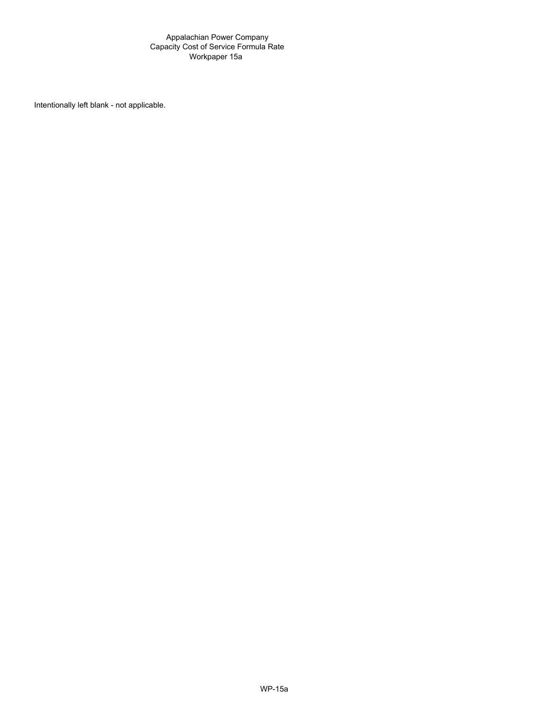#### Appalachian Power Company Capacity Cost of Service Formula Rate Workpaper 15a

Intentionally left blank - not applicable.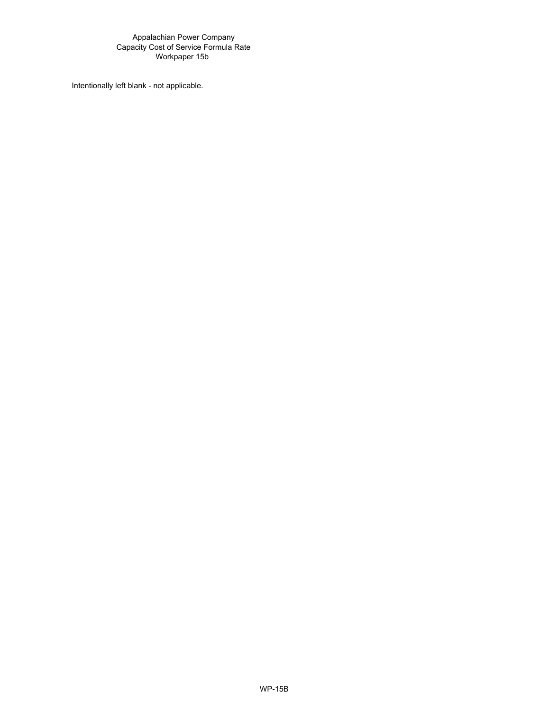#### Appalachian Power Company Capacity Cost of Service Formula Rate Workpaper 15b

Intentionally left blank - not applicable.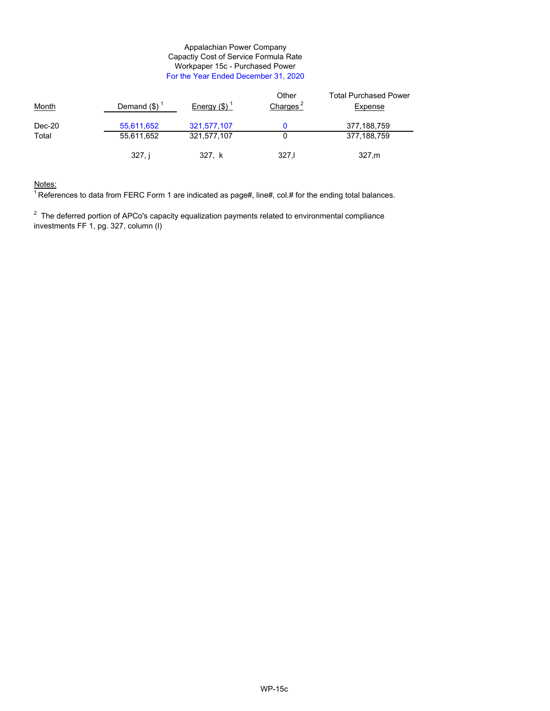#### Appalachian Power Company Capactiy Cost of Service Formula Rate Workpaper 15c - Purchased Power For the Year Ended December 31, 2020

| <b>Month</b> | Demand $(\$)^T$ | Energy $(\$)^{\top}$ | Other<br>Charges $2$ | <b>Total Purchased Power</b><br>Expense |
|--------------|-----------------|----------------------|----------------------|-----------------------------------------|
| Dec-20       | 55,611,652      | 321,577,107          |                      | 377,188,759                             |
| Total        | 55,611,652      | 321,577,107          |                      | 377,188,759                             |
|              | 327. i          | 327, k               | 327.1                | 327.m                                   |

#### Notes:

 $1$  References to data from FERC Form 1 are indicated as page#, line#, col.# for the ending total balances.

 $2$  The deferred portion of APCo's capacity equalization payments related to environmental compliance investments FF 1, pg. 327, column (l)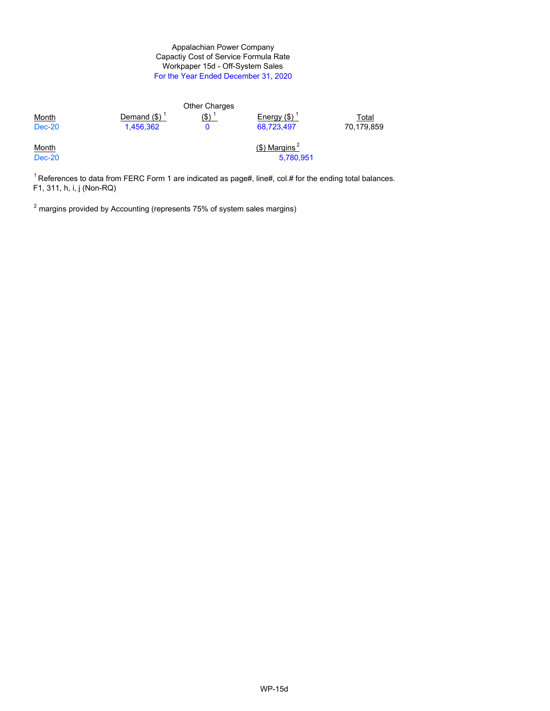#### Workpaper 15d - Off-System Sales For the Year Ended December 31, 2020 Appalachian Power Company Capactiy Cost of Service Formula Rate

|                               |                 | <b>Other Charges</b> |                                           |            |
|-------------------------------|-----------------|----------------------|-------------------------------------------|------------|
| <b>Month</b>                  | Demand $(\$)^1$ | $($ \$) $\dot{ }$    | Energy $(\$)$                             | Total      |
| $Dec-20$                      | 1,456,362       |                      | 68,723,497                                | 70,179,859 |
| <u>Month</u><br><b>Dec-20</b> |                 |                      | $($ \$) Margins <sup>2</sup><br>5,780,951 |            |
|                               |                 |                      |                                           |            |

 $1$ References to data from FERC Form 1 are indicated as page#, line#, col.# for the ending total balances. F1, 311, h, i, j (Non-RQ)

 $^{\rm 2}$  margins provided by Accounting (represents 75% of system sales margins)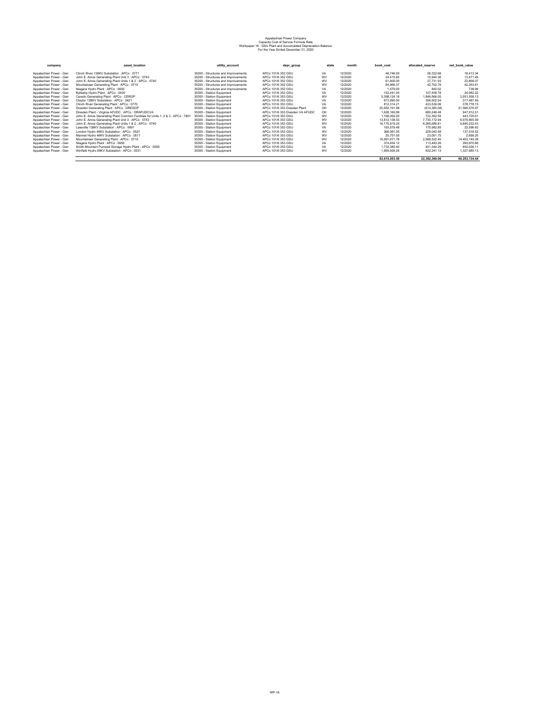# Appalachian Power Company Capacity Cost of Service Formula Rate Workpaper 16 - GSU Plant and Accumulated Depreciation Balance For the Year Ended December 31, 2020

| company                 | asset location                                                                   | utility_account                     | depr group                      | state     | month   | book cost     | allocated reserve | net book value |
|-------------------------|----------------------------------------------------------------------------------|-------------------------------------|---------------------------------|-----------|---------|---------------|-------------------|----------------|
| Appalachian Power - Gen | Clinch River 138KV Substation : APCo : 0771                                      | 35200 - Structures and Improvements | APCo 101/6 352 GSU              | <b>VA</b> | 12/2020 | 46,746.00     | 28.332.66         | 18.413.34      |
| Appalachian Power - Gen | John E. Amos Generating Plant Unit 3 : APCo : 0743                               | 35200 - Structures and Improvements | APCo 101/6 352 GSU              | WV        | 12/2020 | 24.415.85     | 10.944.36         | 13.471.49      |
| Appalachian Power - Gen | John E. Amos Generating Plant Units 1 & 2 : APCo : 0740                          | 35200 - Structures and Improvements | APCo 101/6 352 GSU              | WV        | 12/2020 | 61,600.00     | 37.731.93         | 23.868.07      |
| Appalachian Power - Gen | Mountaineer Generating Plant : APCo : 0710                                       | 35200 - Structures and Improvements | APCo 101/6 352 GSU              | <b>WV</b> | 12/2020 | 84.966.37     | 42.702.76         | 42.263.61      |
| Appalachian Power - Gen | Niagara Hydro Plant : APCo : 0650                                                | 35200 - Structures and Improvements | APCo 101/6 352 GSU              | VA        | 12/2020 | 1,579.00      | 840.02            | 738.98         |
| Appalachian Power - Gen | Byllesby Hydro Plant : APCo : 0630                                               | 35300 - Station Equipment           | APCo 101/6 353 GSU              | VA        | 12/2020 | 132.441.00    | 107.458.78        | 24.982.22      |
| Appalachian Power - Gen | Ceredo Generating Plant : APCo : CERGP                                           | 35300 - Station Equipment           | APCo 101/6 353 GSU              | <b>WV</b> | 12/2020 | 5.398.124.18  | 1.846.566.05      | 3.551.558.13   |
| Appalachian Power - Gen | Claytor 138KV Substation: APCo: 0621                                             | 35300 - Station Equipment           | APCo 101/6 353 GSU              | VA        | 12/2020 | 673.990.00    | 356.502.54        | 317.487.46     |
| Appalachian Power - Gen | Clinch River Generating Plant : APCo : 0770                                      | 35300 - Station Equipment           | APCo 101/6 353 GSU              | VA        | 12/2020 | 812.314.21    | 433.536.06        | 378,778.15     |
| Appalachian Power - Gen | Dresden Generating Plant : APCo : DRESGP                                         | 35300 - Station Equipment           | APCo 101/6 353 Dresden Plant    | OH        | 12/2020 | 20.952.191.89 | (614, 385.08)     | 21.566.576.97  |
| Appalachian Power - Gen | Dresden Plant - Virginia AFUDC : APCo : DRAFUDCVA                                | 35300 - Station Equipment           | APCo 101/6 353 Dresden VA AFUDC | OH        | 12/2020 | 1.628.160.99  | 680.248.48        | 947.912.51     |
| Appalachian Power - Gen | John E. Amos Generating Plant Common Facilities for Units 1, 2 & 3 : APCo : 7801 | 35300 - Station Equipment           | APCo 101/6 353 GSU              | WV        | 12/2020 | 1.166.092.20  | 722.362.59        | 443.729.61     |
| Appalachian Power - Gen | John E. Amos Generating Plant Unit 3 : APCo : 0743                               | 35300 - Station Equipment           | APCo 101/6 353 GSU              | <b>WV</b> | 12/2020 | 13.812.138.53 | 7.735.172.94      | 6.076.965.59   |
| Appalachian Power - Gen | John E. Amos Generating Plant Units 1 & 2 : APCo : 0740                          | 35300 - Station Equipment           | APCo 101/6 353 GSU              | WV        | 12/2020 | 16.175.919.24 | 6.285.686.81      | 9.890.232.43   |
| Appalachian Power - Gen | Leesville 138KV Substation : APCo : 0691                                         | 35300 - Station Equipment           | APCo 101/6 353 GSU              | <b>VA</b> | 12/2020 | 193,579.48    | 170.982.85        | 22.596.63      |
| Appalachian Power - Gen | London Hydro 46KV Substation: APCo: 0521                                         | 35300 - Station Equipment           | APCo 101/6 353 GSU              | WV        | 12/2020 | 366.061.00    | 229.042.48        | 137.018.52     |
| Appalachian Power - Gen | Marmet Hydro 46KV Substation : APCo : 0511                                       | 35300 - Station Equipment           | APCo 101/6 353 GSU              | <b>WV</b> | 12/2020 | 25,751.00     | 23.051.75         | 2.699.25       |
| Appalachian Power - Gen | Mountaineer Generating Plant: APCo: 0710                                         | 35300 - Station Equipment           | APCo 101/6 353 GSU              | WV        | 12/2020 | 16.991.671.78 | 2.588.522.40      | 14.403.149.38  |
| Appalachian Power - Gen | Niagara Hydro Plant : APCo : 0650                                                | 35300 - Station Equipment           | APCo 101/6 353 GSU              | VA        | 12/2020 | 374.454.12    | 113.483.26        | 260.970.86     |
| Appalachian Power - Gen | Smith Mountain Pumped Storage Hydro Plant : APCo : 0550                          | 35300 - Station Equipment           | APCo 101/6 353 GSU              | VA        | 12/2020 | 1.733.380.40  | 931.344.29        | 802.036.11     |
| Appalachian Power - Gen | Winfield Hydro 69KV Substation: APCo: 0531                                       | 35300 - Station Equipment           | APCo 101/6 353 GSU              | <b>WV</b> | 12/2020 | 1.959.926.26  | 632.241.13        | 1.327.685.13   |
|                         |                                                                                  |                                     |                                 |           |         | 82.615.503.50 | 22.362.369.06     | 60.253.134.44  |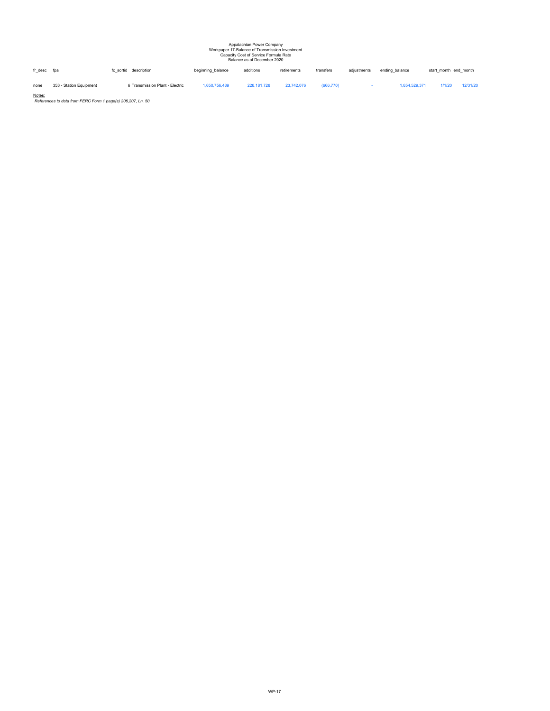# Appalachian Power Company Workpaper 17-Balance of Transmission Investment Capacity Cost of Service Formula Rate Balance as of December 2020

fr\_desc fpa fc\_sortid description beginning\_balance additions retirements transfers adjustments ending\_balance start\_month end\_month none 353 - Station Equipment 6 Transmission Plant - Electric 1,650,756,489 228,181,728 23,742,076 (666,770) - 1,854,529,371 1/1/20 12/31/20

Notes: *References to data from FERC Form 1 page(s) 206,207, Ln. 50*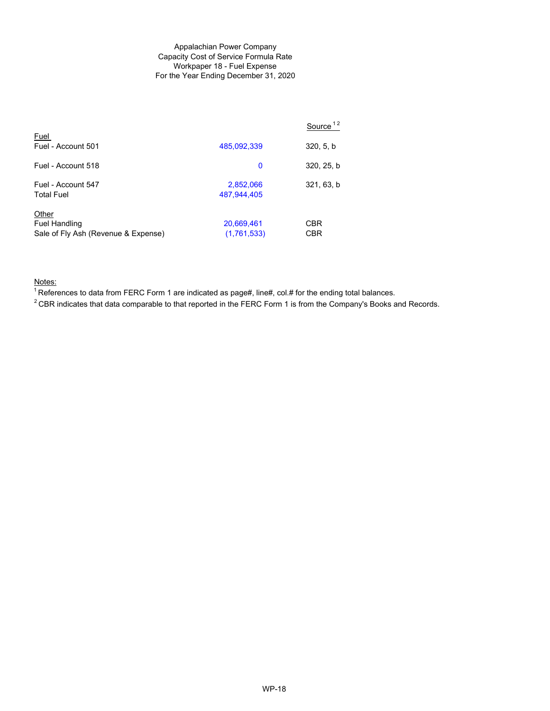#### Appalachian Power Company Capacity Cost of Service Formula Rate Workpaper 18 - Fuel Expense For the Year Ending December 31, 2020

|                                                                      |                           | Source <sup>12</sup> |
|----------------------------------------------------------------------|---------------------------|----------------------|
| Fuel<br>Fuel - Account 501                                           | 485,092,339               | 320, 5, b            |
| Fuel - Account 518                                                   | 0                         | 320, 25, b           |
| Fuel - Account 547<br><b>Total Fuel</b>                              | 2,852,066<br>487,944,405  | 321, 63, b           |
| Other<br><b>Fuel Handling</b><br>Sale of Fly Ash (Revenue & Expense) | 20,669,461<br>(1,761,533) | CBR<br>CBR           |

Notes:

 $1$ References to data from FERC Form 1 are indicated as page#, line#, col.# for the ending total balances.

 $2$  CBR indicates that data comparable to that reported in the FERC Form 1 is from the Company's Books and Records.